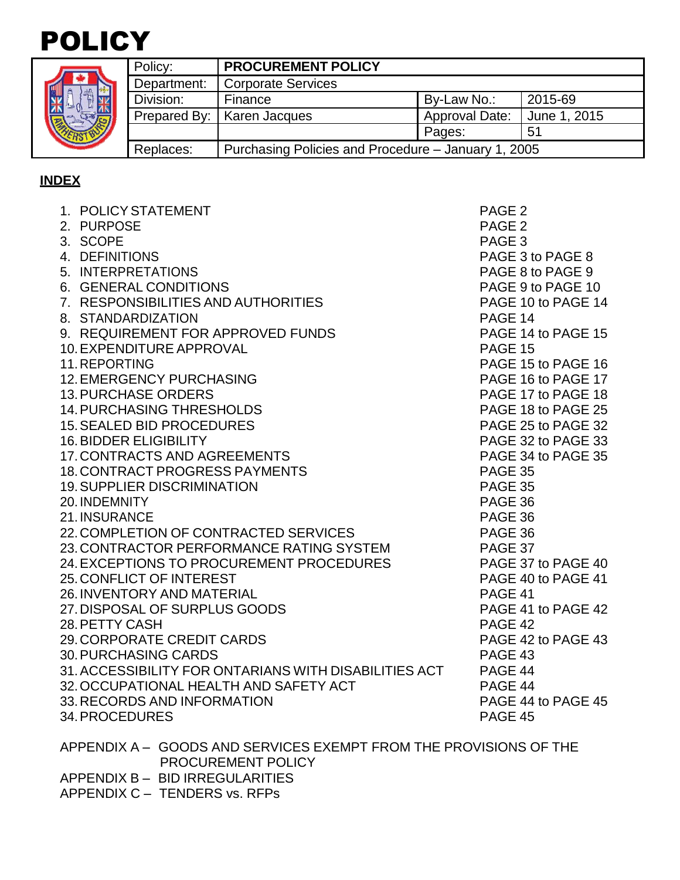# POLICY

|  | Policy:      | <b>PROCUREMENT POLICY</b>                           |                                       |    |  |  |
|--|--------------|-----------------------------------------------------|---------------------------------------|----|--|--|
|  | Department:  | <b>Corporate Services</b>                           |                                       |    |  |  |
|  | Division:    | 2015-69<br>By-Law No.:<br>Finance                   |                                       |    |  |  |
|  | Prepared By: | Karen Jacques                                       | <b>Approval Date:</b><br>June 1, 2015 |    |  |  |
|  |              |                                                     | Pages:                                | 51 |  |  |
|  | Replaces:    | Purchasing Policies and Procedure - January 1, 2005 |                                       |    |  |  |

# **INDEX**

| 1. POLICY STATEMENT                                   | PAGE <sub>2</sub>  |
|-------------------------------------------------------|--------------------|
| 2. PURPOSE                                            | PAGE <sub>2</sub>  |
| 3. SCOPE                                              | PAGE <sub>3</sub>  |
| 4. DEFINITIONS                                        | PAGE 3 to PAGE 8   |
| 5. INTERPRETATIONS                                    | PAGE 8 to PAGE 9   |
| 6. GENERAL CONDITIONS                                 | PAGE 9 to PAGE 10  |
| 7. RESPONSIBILITIES AND AUTHORITIES                   | PAGE 10 to PAGE 14 |
| 8. STANDARDIZATION                                    | PAGE 14            |
| 9. REQUIREMENT FOR APPROVED FUNDS                     | PAGE 14 to PAGE 15 |
| 10. EXPENDITURE APPROVAL                              | <b>PAGE 15</b>     |
| 11. REPORTING                                         | PAGE 15 to PAGE 16 |
| <b>12. EMERGENCY PURCHASING</b>                       | PAGE 16 to PAGE 17 |
| <b>13. PURCHASE ORDERS</b>                            | PAGE 17 to PAGE 18 |
| <b>14. PURCHASING THRESHOLDS</b>                      | PAGE 18 to PAGE 25 |
| <b>15. SEALED BID PROCEDURES</b>                      | PAGE 25 to PAGE 32 |
| <b>16. BIDDER ELIGIBILITY</b>                         | PAGE 32 to PAGE 33 |
| <b>17. CONTRACTS AND AGREEMENTS</b>                   | PAGE 34 to PAGE 35 |
| <b>18. CONTRACT PROGRESS PAYMENTS</b>                 | PAGE 35            |
| <b>19. SUPPLIER DISCRIMINATION</b>                    | <b>PAGE 35</b>     |
| 20. INDEMNITY                                         | PAGE 36            |
| 21. INSURANCE                                         | PAGE 36            |
| 22. COMPLETION OF CONTRACTED SERVICES                 | PAGE 36            |
| 23. CONTRACTOR PERFORMANCE RATING SYSTEM              | PAGE 37            |
| 24. EXCEPTIONS TO PROCUREMENT PROCEDURES              | PAGE 37 to PAGE 40 |
| 25. CONFLICT OF INTEREST                              | PAGE 40 to PAGE 41 |
| 26. INVENTORY AND MATERIAL                            | PAGE 41            |
| 27. DISPOSAL OF SURPLUS GOODS                         | PAGE 41 to PAGE 42 |
| 28. PETTY CASH                                        | PAGE 42            |
| 29. CORPORATE CREDIT CARDS                            | PAGE 42 to PAGE 43 |
| <b>30. PURCHASING CARDS</b>                           | PAGE 43            |
| 31. ACCESSIBILITY FOR ONTARIANS WITH DISABILITIES ACT | PAGE 44            |
| 32. OCCUPATIONAL HEALTH AND SAFETY ACT                | PAGE 44            |
| 33. RECORDS AND INFORMATION                           | PAGE 44 to PAGE 45 |
| 34. PROCEDURES                                        | PAGE 45            |
| $\lambda$ pp = $\lambda$ in $\lambda$ /               |                    |

APPENDIX A – GOODS AND SERVICES EXEMPT FROM THE PROVISIONS OF THE PROCUREMENT POLICY APPENDIX B – BID IRREGULARITIES APPENDIX C – TENDERS vs. RFPs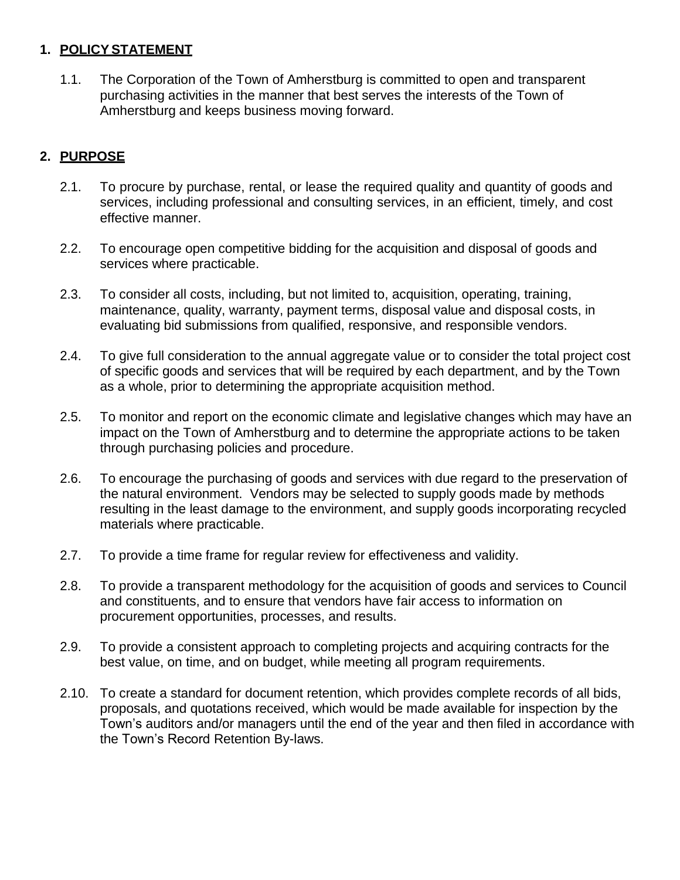## **1. POLICYSTATEMENT**

1.1. The Corporation of the Town of Amherstburg is committed to open and transparent purchasing activities in the manner that best serves the interests of the Town of Amherstburg and keeps business moving forward.

# **2. PURPOSE**

- 2.1. To procure by purchase, rental, or lease the required quality and quantity of goods and services, including professional and consulting services, in an efficient, timely, and cost effective manner.
- 2.2. To encourage open competitive bidding for the acquisition and disposal of goods and services where practicable.
- 2.3. To consider all costs, including, but not limited to, acquisition, operating, training, maintenance, quality, warranty, payment terms, disposal value and disposal costs, in evaluating bid submissions from qualified, responsive, and responsible vendors.
- 2.4. To give full consideration to the annual aggregate value or to consider the total project cost of specific goods and services that will be required by each department, and by the Town as a whole, prior to determining the appropriate acquisition method.
- 2.5. To monitor and report on the economic climate and legislative changes which may have an impact on the Town of Amherstburg and to determine the appropriate actions to be taken through purchasing policies and procedure.
- 2.6. To encourage the purchasing of goods and services with due regard to the preservation of the natural environment. Vendors may be selected to supply goods made by methods resulting in the least damage to the environment, and supply goods incorporating recycled materials where practicable.
- 2.7. To provide a time frame for regular review for effectiveness and validity.
- 2.8. To provide a transparent methodology for the acquisition of goods and services to Council and constituents, and to ensure that vendors have fair access to information on procurement opportunities, processes, and results.
- 2.9. To provide a consistent approach to completing projects and acquiring contracts for the best value, on time, and on budget, while meeting all program requirements.
- 2.10. To create a standard for document retention, which provides complete records of all bids, proposals, and quotations received, which would be made available for inspection by the Town's auditors and/or managers until the end of the year and then filed in accordance with the Town's Record Retention By-laws.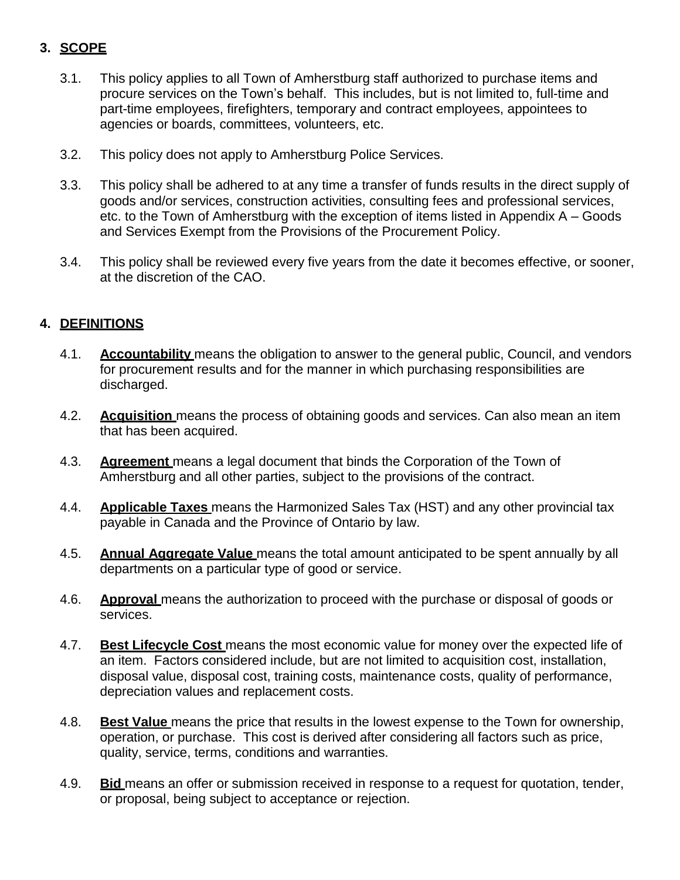# **3. SCOPE**

- 3.1. This policy applies to all Town of Amherstburg staff authorized to purchase items and procure services on the Town's behalf. This includes, but is not limited to, full-time and part-time employees, firefighters, temporary and contract employees, appointees to agencies or boards, committees, volunteers, etc.
- 3.2. This policy does not apply to Amherstburg Police Services.
- 3.3. This policy shall be adhered to at any time a transfer of funds results in the direct supply of goods and/or services, construction activities, consulting fees and professional services, etc. to the Town of Amherstburg with the exception of items listed in Appendix A – Goods and Services Exempt from the Provisions of the Procurement Policy.
- 3.4. This policy shall be reviewed every five years from the date it becomes effective, or sooner, at the discretion of the CAO.

# **4. DEFINITIONS**

- 4.1. **Accountability** means the obligation to answer to the general public, Council, and vendors for procurement results and for the manner in which purchasing responsibilities are discharged.
- 4.2. **Acquisition** means the process of obtaining goods and services. Can also mean an item that has been acquired.
- 4.3. **Agreement** means a legal document that binds the Corporation of the Town of Amherstburg and all other parties, subject to the provisions of the contract.
- 4.4. **Applicable Taxes** means the Harmonized Sales Tax (HST) and any other provincial tax payable in Canada and the Province of Ontario by law.
- 4.5. **Annual Aggregate Value** means the total amount anticipated to be spent annually by all departments on a particular type of good or service.
- 4.6. **Approval** means the authorization to proceed with the purchase or disposal of goods or services.
- 4.7. **Best Lifecycle Cost** means the most economic value for money over the expected life of an item. Factors considered include, but are not limited to acquisition cost, installation, disposal value, disposal cost, training costs, maintenance costs, quality of performance, depreciation values and replacement costs.
- 4.8. **Best Value** means the price that results in the lowest expense to the Town for ownership, operation, or purchase. This cost is derived after considering all factors such as price, quality, service, terms, conditions and warranties.
- 4.9. **Bid** means an offer or submission received in response to a request for quotation, tender, or proposal, being subject to acceptance or rejection.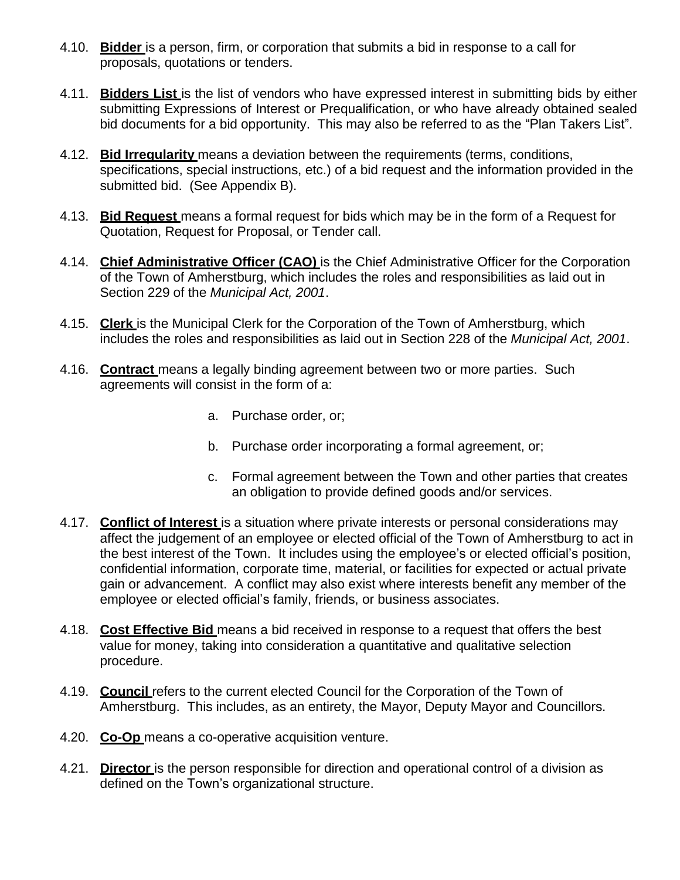- 4.10. **Bidder** is a person, firm, or corporation that submits a bid in response to a call for proposals, quotations or tenders.
- 4.11. **Bidders List** is the list of vendors who have expressed interest in submitting bids by either submitting Expressions of Interest or Prequalification, or who have already obtained sealed bid documents for a bid opportunity. This may also be referred to as the "Plan Takers List".
- 4.12. **Bid Irregularity** means a deviation between the requirements (terms, conditions, specifications, special instructions, etc.) of a bid request and the information provided in the submitted bid. (See Appendix B).
- 4.13. **Bid Request** means a formal request for bids which may be in the form of a Request for Quotation, Request for Proposal, or Tender call.
- 4.14. **Chief Administrative Officer (CAO)** is the Chief Administrative Officer for the Corporation of the Town of Amherstburg, which includes the roles and responsibilities as laid out in Section 229 of the *Municipal Act, 2001*.
- 4.15. **Clerk** is the Municipal Clerk for the Corporation of the Town of Amherstburg, which includes the roles and responsibilities as laid out in Section 228 of the *Municipal Act, 2001*.
- 4.16. **Contract** means a legally binding agreement between two or more parties. Such agreements will consist in the form of a:
	- a. Purchase order, or;
	- b. Purchase order incorporating a formal agreement, or;
	- c. Formal agreement between the Town and other parties that creates an obligation to provide defined goods and/or services.
- 4.17. **Conflict of Interest** is a situation where private interests or personal considerations may affect the judgement of an employee or elected official of the Town of Amherstburg to act in the best interest of the Town. It includes using the employee's or elected official's position, confidential information, corporate time, material, or facilities for expected or actual private gain or advancement. A conflict may also exist where interests benefit any member of the employee or elected official's family, friends, or business associates.
- 4.18. **Cost Effective Bid** means a bid received in response to a request that offers the best value for money, taking into consideration a quantitative and qualitative selection procedure.
- 4.19. **Council** refers to the current elected Council for the Corporation of the Town of Amherstburg. This includes, as an entirety, the Mayor, Deputy Mayor and Councillors.
- 4.20. **Co-Op** means a co-operative acquisition venture.
- 4.21. **Director** is the person responsible for direction and operational control of a division as defined on the Town's organizational structure.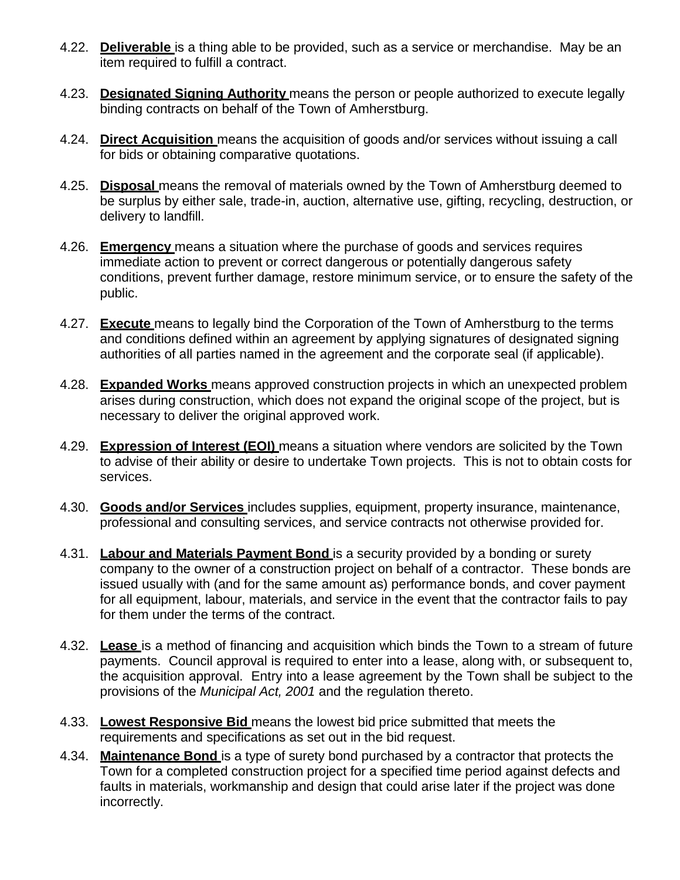- 4.22. **Deliverable** is a thing able to be provided, such as a service or merchandise. May be an item required to fulfill a contract.
- 4.23. **Designated Signing Authority** means the person or people authorized to execute legally binding contracts on behalf of the Town of Amherstburg.
- 4.24. **Direct Acquisition** means the acquisition of goods and/or services without issuing a call for bids or obtaining comparative quotations.
- 4.25. **Disposal** means the removal of materials owned by the Town of Amherstburg deemed to be surplus by either sale, trade-in, auction, alternative use, gifting, recycling, destruction, or delivery to landfill.
- 4.26. **Emergency** means a situation where the purchase of goods and services requires immediate action to prevent or correct dangerous or potentially dangerous safety conditions, prevent further damage, restore minimum service, or to ensure the safety of the public.
- 4.27. **Execute** means to legally bind the Corporation of the Town of Amherstburg to the terms and conditions defined within an agreement by applying signatures of designated signing authorities of all parties named in the agreement and the corporate seal (if applicable).
- 4.28. **Expanded Works** means approved construction projects in which an unexpected problem arises during construction, which does not expand the original scope of the project, but is necessary to deliver the original approved work.
- 4.29. **Expression of Interest (EOI)** means a situation where vendors are solicited by the Town to advise of their ability or desire to undertake Town projects. This is not to obtain costs for services.
- 4.30. **Goods and/or Services** includes supplies, equipment, property insurance, maintenance, professional and consulting services, and service contracts not otherwise provided for.
- 4.31. **Labour and Materials Payment Bond** is a security provided by a bonding or surety company to the owner of a construction project on behalf of a contractor. These bonds are issued usually with (and for the same amount as) performance bonds, and cover payment for all equipment, labour, materials, and service in the event that the contractor fails to pay for them under the terms of the contract.
- 4.32. **Lease** is a method of financing and acquisition which binds the Town to a stream of future payments. Council approval is required to enter into a lease, along with, or subsequent to, the acquisition approval. Entry into a lease agreement by the Town shall be subject to the provisions of the *Municipal Act, 2001* and the regulation thereto.
- 4.33. **Lowest Responsive Bid** means the lowest bid price submitted that meets the requirements and specifications as set out in the bid request.
- 4.34. **Maintenance Bond** is a type of surety bond purchased by a contractor that protects the Town for a completed construction project for a specified time period against defects and faults in materials, workmanship and design that could arise later if the project was done incorrectly.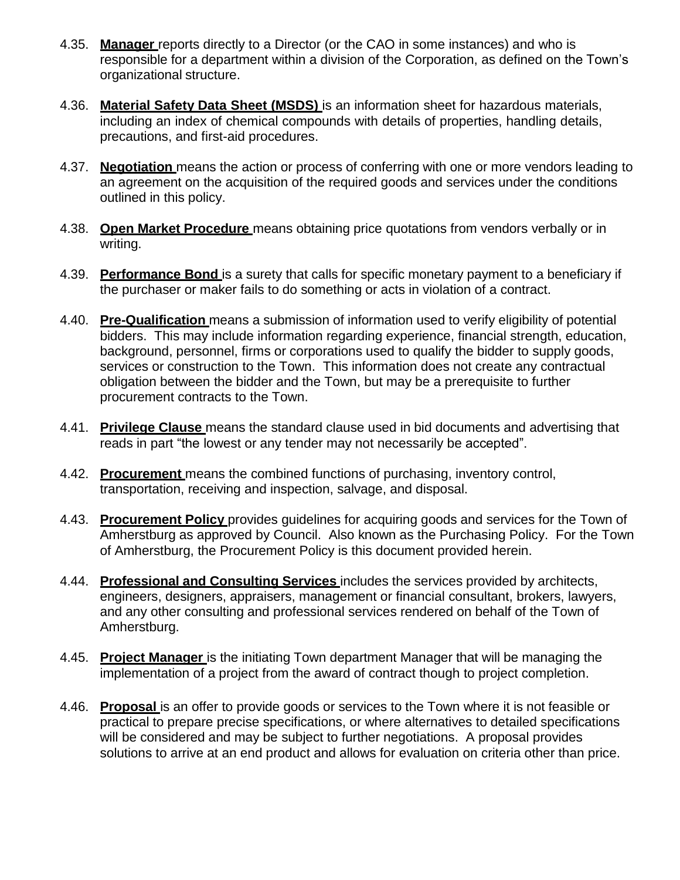- 4.35. **Manager** reports directly to a Director (or the CAO in some instances) and who is responsible for a department within a division of the Corporation, as defined on the Town's organizational structure.
- 4.36. **Material Safety Data Sheet (MSDS)** is an information sheet for hazardous materials, including an index of chemical compounds with details of properties, handling details, precautions, and first-aid procedures.
- 4.37. **Negotiation** means the action or process of conferring with one or more vendors leading to an agreement on the acquisition of the required goods and services under the conditions outlined in this policy.
- 4.38. **Open Market Procedure** means obtaining price quotations from vendors verbally or in writing.
- 4.39. **Performance Bond** is a surety that calls for specific monetary payment to a beneficiary if the purchaser or maker fails to do something or acts in violation of a contract.
- 4.40. **Pre-Qualification** means a submission of information used to verify eligibility of potential bidders. This may include information regarding experience, financial strength, education, background, personnel, firms or corporations used to qualify the bidder to supply goods, services or construction to the Town. This information does not create any contractual obligation between the bidder and the Town, but may be a prerequisite to further procurement contracts to the Town.
- 4.41. **Privilege Clause** means the standard clause used in bid documents and advertising that reads in part "the lowest or any tender may not necessarily be accepted".
- 4.42. **Procurement** means the combined functions of purchasing, inventory control, transportation, receiving and inspection, salvage, and disposal.
- 4.43. **Procurement Policy** provides guidelines for acquiring goods and services for the Town of Amherstburg as approved by Council. Also known as the Purchasing Policy. For the Town of Amherstburg, the Procurement Policy is this document provided herein.
- 4.44. **Professional and Consulting Services** includes the services provided by architects, engineers, designers, appraisers, management or financial consultant, brokers, lawyers, and any other consulting and professional services rendered on behalf of the Town of Amherstburg.
- 4.45. **Project Manager** is the initiating Town department Manager that will be managing the implementation of a project from the award of contract though to project completion.
- 4.46. **Proposal** is an offer to provide goods or services to the Town where it is not feasible or practical to prepare precise specifications, or where alternatives to detailed specifications will be considered and may be subject to further negotiations. A proposal provides solutions to arrive at an end product and allows for evaluation on criteria other than price.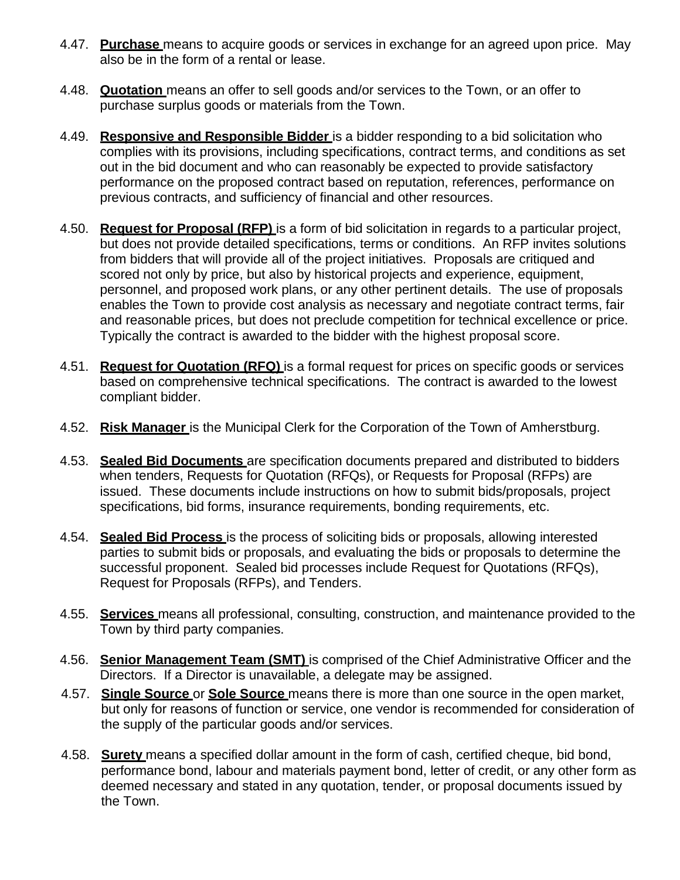- 4.47. **Purchase** means to acquire goods or services in exchange for an agreed upon price. May also be in the form of a rental or lease.
- 4.48. **Quotation** means an offer to sell goods and/or services to the Town, or an offer to purchase surplus goods or materials from the Town.
- 4.49. **Responsive and Responsible Bidder** is a bidder responding to a bid solicitation who complies with its provisions, including specifications, contract terms, and conditions as set out in the bid document and who can reasonably be expected to provide satisfactory performance on the proposed contract based on reputation, references, performance on previous contracts, and sufficiency of financial and other resources.
- 4.50. **Request for Proposal (RFP)** is a form of bid solicitation in regards to a particular project, but does not provide detailed specifications, terms or conditions. An RFP invites solutions from bidders that will provide all of the project initiatives. Proposals are critiqued and scored not only by price, but also by historical projects and experience, equipment, personnel, and proposed work plans, or any other pertinent details. The use of proposals enables the Town to provide cost analysis as necessary and negotiate contract terms, fair and reasonable prices, but does not preclude competition for technical excellence or price. Typically the contract is awarded to the bidder with the highest proposal score.
- 4.51. **Request for Quotation (RFQ)** is a formal request for prices on specific goods or services based on comprehensive technical specifications. The contract is awarded to the lowest compliant bidder.
- 4.52. **Risk Manager** is the Municipal Clerk for the Corporation of the Town of Amherstburg.
- 4.53. **Sealed Bid Documents** are specification documents prepared and distributed to bidders when tenders, Requests for Quotation (RFQs), or Requests for Proposal (RFPs) are issued. These documents include instructions on how to submit bids/proposals, project specifications, bid forms, insurance requirements, bonding requirements, etc.
- 4.54. **Sealed Bid Process** is the process of soliciting bids or proposals, allowing interested parties to submit bids or proposals, and evaluating the bids or proposals to determine the successful proponent. Sealed bid processes include Request for Quotations (RFQs), Request for Proposals (RFPs), and Tenders.
- 4.55. **Services** means all professional, consulting, construction, and maintenance provided to the Town by third party companies.
- 4.56. **Senior Management Team (SMT)** is comprised of the Chief Administrative Officer and the Directors. If a Director is unavailable, a delegate may be assigned.
- 4.57. **Single Source** or **Sole Source** means there is more than one source in the open market, but only for reasons of function or service, one vendor is recommended for consideration of the supply of the particular goods and/or services.
- 4.58. **Surety** means a specified dollar amount in the form of cash, certified cheque, bid bond, performance bond, labour and materials payment bond, letter of credit, or any other form as deemed necessary and stated in any quotation, tender, or proposal documents issued by the Town.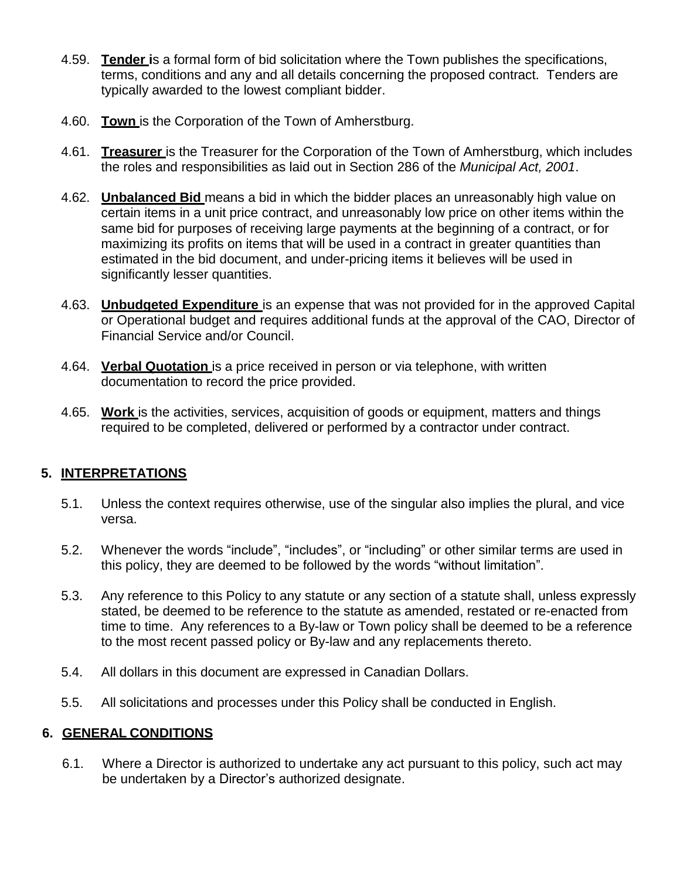- 4.59. **Tender i**s a formal form of bid solicitation where the Town publishes the specifications, terms, conditions and any and all details concerning the proposed contract. Tenders are typically awarded to the lowest compliant bidder.
- 4.60. **Town** is the Corporation of the Town of Amherstburg.
- 4.61. **Treasurer** is the Treasurer for the Corporation of the Town of Amherstburg, which includes the roles and responsibilities as laid out in Section 286 of the *Municipal Act, 2001*.
- 4.62. **Unbalanced Bid** means a bid in which the bidder places an unreasonably high value on certain items in a unit price contract, and unreasonably low price on other items within the same bid for purposes of receiving large payments at the beginning of a contract, or for maximizing its profits on items that will be used in a contract in greater quantities than estimated in the bid document, and under-pricing items it believes will be used in significantly lesser quantities.
- 4.63. **Unbudgeted Expenditure** is an expense that was not provided for in the approved Capital or Operational budget and requires additional funds at the approval of the CAO, Director of Financial Service and/or Council.
- 4.64. **Verbal Quotation** is a price received in person or via telephone, with written documentation to record the price provided.
- 4.65. **Work** is the activities, services, acquisition of goods or equipment, matters and things required to be completed, delivered or performed by a contractor under contract.

## **5. INTERPRETATIONS**

- 5.1. Unless the context requires otherwise, use of the singular also implies the plural, and vice versa.
- 5.2. Whenever the words "include", "includes", or "including" or other similar terms are used in this policy, they are deemed to be followed by the words "without limitation".
- 5.3. Any reference to this Policy to any statute or any section of a statute shall, unless expressly stated, be deemed to be reference to the statute as amended, restated or re-enacted from time to time. Any references to a By-law or Town policy shall be deemed to be a reference to the most recent passed policy or By-law and any replacements thereto.
- 5.4. All dollars in this document are expressed in Canadian Dollars.
- 5.5. All solicitations and processes under this Policy shall be conducted in English.

## **6. GENERAL CONDITIONS**

6.1. Where a Director is authorized to undertake any act pursuant to this policy, such act may be undertaken by a Director's authorized designate.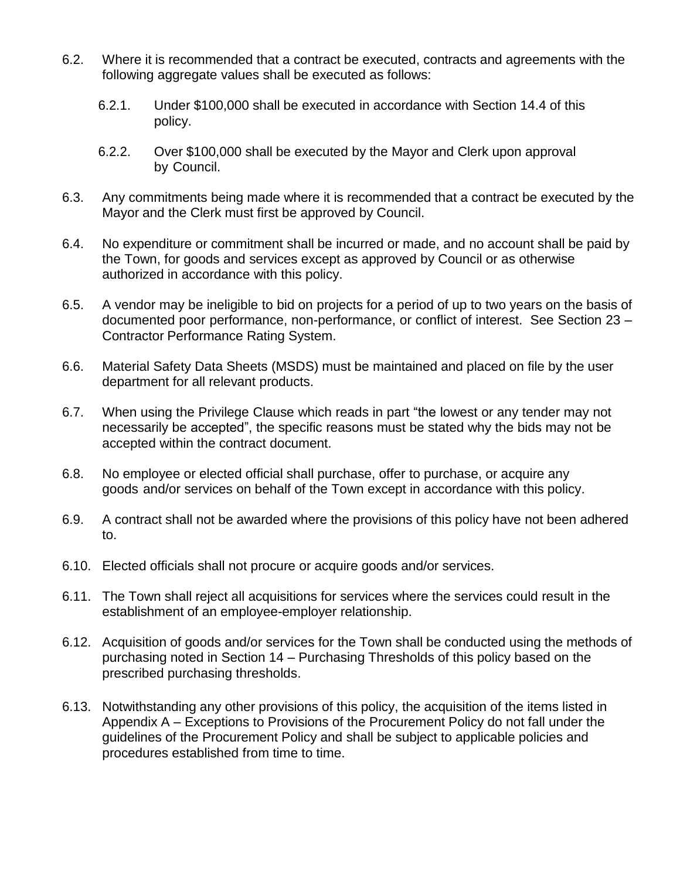- 6.2. Where it is recommended that a contract be executed, contracts and agreements with the following aggregate values shall be executed as follows:
	- 6.2.1. Under \$100,000 shall be executed in accordance with Section 14.4 of this policy.
	- 6.2.2. Over \$100,000 shall be executed by the Mayor and Clerk upon approval by Council.
- 6.3. Any commitments being made where it is recommended that a contract be executed by the Mayor and the Clerk must first be approved by Council.
- 6.4. No expenditure or commitment shall be incurred or made, and no account shall be paid by the Town, for goods and services except as approved by Council or as otherwise authorized in accordance with this policy.
- 6.5. A vendor may be ineligible to bid on projects for a period of up to two years on the basis of documented poor performance, non-performance, or conflict of interest. See Section 23 – Contractor Performance Rating System.
- 6.6. Material Safety Data Sheets (MSDS) must be maintained and placed on file by the user department for all relevant products.
- 6.7. When using the Privilege Clause which reads in part "the lowest or any tender may not necessarily be accepted", the specific reasons must be stated why the bids may not be accepted within the contract document.
- 6.8. No employee or elected official shall purchase, offer to purchase, or acquire any goods and/or services on behalf of the Town except in accordance with this policy.
- 6.9. A contract shall not be awarded where the provisions of this policy have not been adhered to.
- 6.10. Elected officials shall not procure or acquire goods and/or services.
- 6.11. The Town shall reject all acquisitions for services where the services could result in the establishment of an employee-employer relationship.
- 6.12. Acquisition of goods and/or services for the Town shall be conducted using the methods of purchasing noted in Section 14 – Purchasing Thresholds of this policy based on the prescribed purchasing thresholds.
- 6.13. Notwithstanding any other provisions of this policy, the acquisition of the items listed in Appendix A – Exceptions to Provisions of the Procurement Policy do not fall under the guidelines of the Procurement Policy and shall be subject to applicable policies and procedures established from time to time.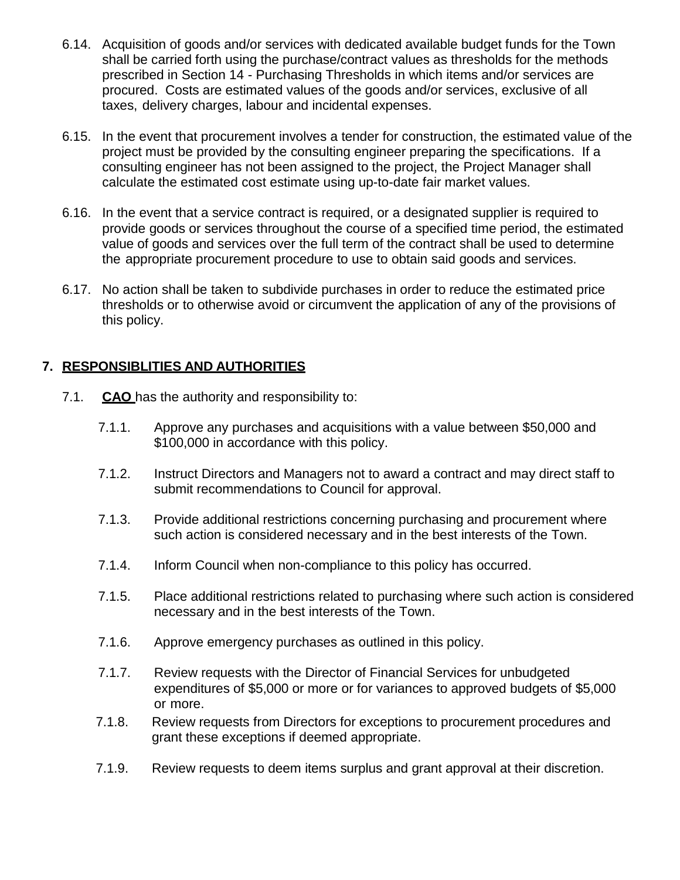- 6.14. Acquisition of goods and/or services with dedicated available budget funds for the Town shall be carried forth using the purchase/contract values as thresholds for the methods prescribed in Section 14 - Purchasing Thresholds in which items and/or services are procured. Costs are estimated values of the goods and/or services, exclusive of all taxes, delivery charges, labour and incidental expenses.
- 6.15. In the event that procurement involves a tender for construction, the estimated value of the project must be provided by the consulting engineer preparing the specifications. If a consulting engineer has not been assigned to the project, the Project Manager shall calculate the estimated cost estimate using up-to-date fair market values.
- 6.16. In the event that a service contract is required, or a designated supplier is required to provide goods or services throughout the course of a specified time period, the estimated value of goods and services over the full term of the contract shall be used to determine the appropriate procurement procedure to use to obtain said goods and services.
- 6.17. No action shall be taken to subdivide purchases in order to reduce the estimated price thresholds or to otherwise avoid or circumvent the application of any of the provisions of this policy.

# **7. RESPONSIBLITIES AND AUTHORITIES**

- 7.1. **CAO** has the authority and responsibility to:
	- 7.1.1. Approve any purchases and acquisitions with a value between \$50,000 and \$100,000 in accordance with this policy.
	- 7.1.2. Instruct Directors and Managers not to award a contract and may direct staff to submit recommendations to Council for approval.
	- 7.1.3. Provide additional restrictions concerning purchasing and procurement where such action is considered necessary and in the best interests of the Town.
	- 7.1.4. Inform Council when non-compliance to this policy has occurred.
	- 7.1.5. Place additional restrictions related to purchasing where such action is considered necessary and in the best interests of the Town.
	- 7.1.6. Approve emergency purchases as outlined in this policy.
	- 7.1.7. Review requests with the Director of Financial Services for unbudgeted expenditures of \$5,000 or more or for variances to approved budgets of \$5,000 or more.
	- 7.1.8. Review requests from Directors for exceptions to procurement procedures and grant these exceptions if deemed appropriate.
	- 7.1.9. Review requests to deem items surplus and grant approval at their discretion.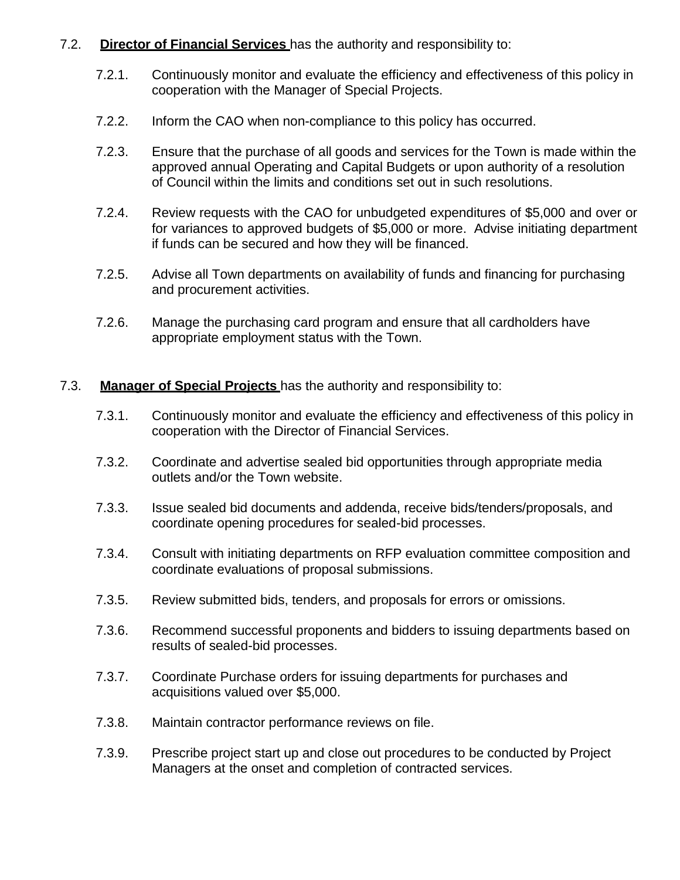#### 7.2. **Director of Financial Services** has the authority and responsibility to:

- 7.2.1. Continuously monitor and evaluate the efficiency and effectiveness of this policy in cooperation with the Manager of Special Projects.
- 7.2.2. Inform the CAO when non-compliance to this policy has occurred.
- 7.2.3. Ensure that the purchase of all goods and services for the Town is made within the approved annual Operating and Capital Budgets or upon authority of a resolution of Council within the limits and conditions set out in such resolutions.
- 7.2.4. Review requests with the CAO for unbudgeted expenditures of \$5,000 and over or for variances to approved budgets of \$5,000 or more. Advise initiating department if funds can be secured and how they will be financed.
- 7.2.5. Advise all Town departments on availability of funds and financing for purchasing and procurement activities.
- 7.2.6. Manage the purchasing card program and ensure that all cardholders have appropriate employment status with the Town.

#### 7.3. **Manager of Special Projects** has the authority and responsibility to:

- 7.3.1. Continuously monitor and evaluate the efficiency and effectiveness of this policy in cooperation with the Director of Financial Services.
- 7.3.2. Coordinate and advertise sealed bid opportunities through appropriate media outlets and/or the Town website.
- 7.3.3. Issue sealed bid documents and addenda, receive bids/tenders/proposals, and coordinate opening procedures for sealed-bid processes.
- 7.3.4. Consult with initiating departments on RFP evaluation committee composition and coordinate evaluations of proposal submissions.
- 7.3.5. Review submitted bids, tenders, and proposals for errors or omissions.
- 7.3.6. Recommend successful proponents and bidders to issuing departments based on results of sealed-bid processes.
- 7.3.7. Coordinate Purchase orders for issuing departments for purchases and acquisitions valued over \$5,000.
- 7.3.8. Maintain contractor performance reviews on file.
- 7.3.9. Prescribe project start up and close out procedures to be conducted by Project Managers at the onset and completion of contracted services.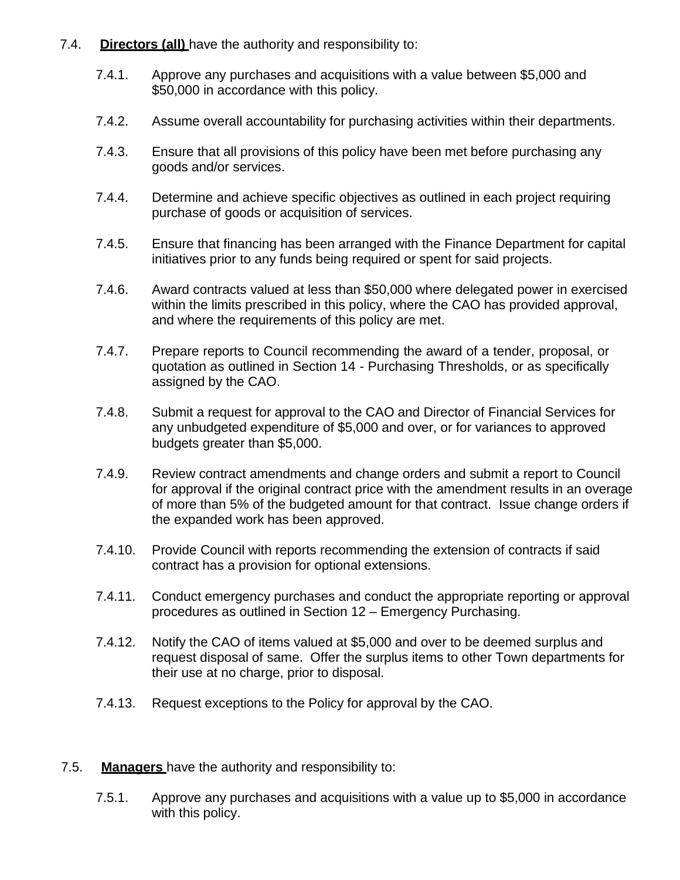- 7.4. **Directors (all)** have the authority and responsibility to:
	- 7.4.1. Approve any purchases and acquisitions with a value between \$5,000 and \$50,000 in accordance with this policy.
	- 7.4.2. Assume overall accountability for purchasing activities within their departments.
	- 7.4.3. Ensure that all provisions of this policy have been met before purchasing any goods and/or services.
	- 7.4.4. Determine and achieve specific objectives as outlined in each project requiring purchase of goods or acquisition of services.
	- 7.4.5. Ensure that financing has been arranged with the Finance Department for capital initiatives prior to any funds being required or spent for said projects.
	- 7.4.6. Award contracts valued at less than \$50,000 where delegated power in exercised within the limits prescribed in this policy, where the CAO has provided approval, and where the requirements of this policy are met.
	- 7.4.7. Prepare reports to Council recommending the award of a tender, proposal, or quotation as outlined in Section 14 - Purchasing Thresholds, or as specifically assigned by the CAO.
	- 7.4.8. Submit a request for approval to the CAO and Director of Financial Services for any unbudgeted expenditure of \$5,000 and over, or for variances to approved budgets greater than \$5,000.
	- 7.4.9. Review contract amendments and change orders and submit a report to Council for approval if the original contract price with the amendment results in an overage of more than 5% of the budgeted amount for that contract. Issue change orders if the expanded work has been approved.
	- 7.4.10. Provide Council with reports recommending the extension of contracts if said contract has a provision for optional extensions.
	- 7.4.11. Conduct emergency purchases and conduct the appropriate reporting or approval procedures as outlined in Section 12 – Emergency Purchasing.
	- 7.4.12. Notify the CAO of items valued at \$5,000 and over to be deemed surplus and request disposal of same. Offer the surplus items to other Town departments for their use at no charge, prior to disposal.
	- 7.4.13. Request exceptions to the Policy for approval by the CAO.
- 7.5. **Managers** have the authority and responsibility to:
	- 7.5.1. Approve any purchases and acquisitions with a value up to \$5,000 in accordance with this policy.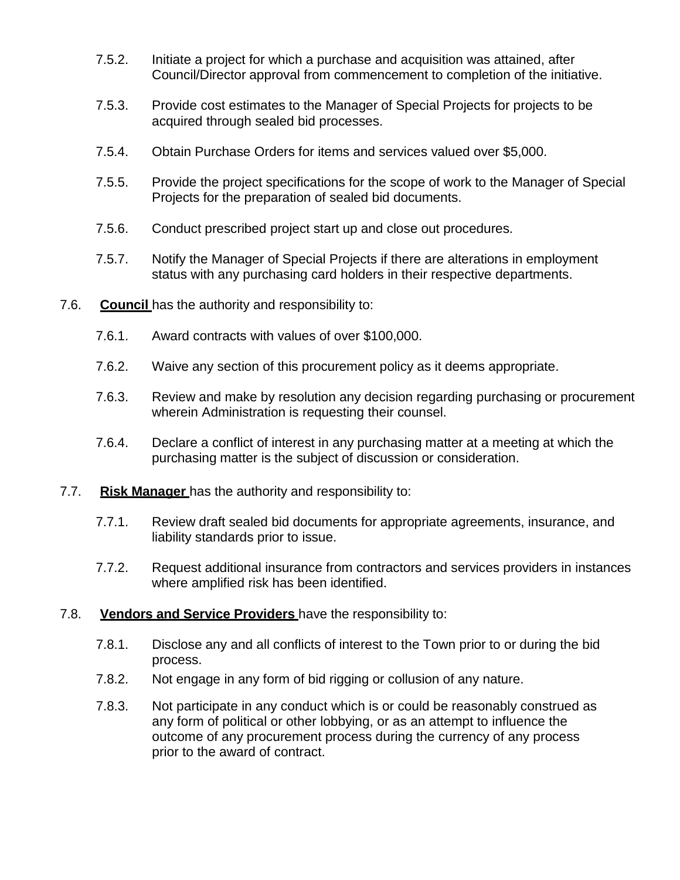- 7.5.2. Initiate a project for which a purchase and acquisition was attained, after Council/Director approval from commencement to completion of the initiative.
- 7.5.3. Provide cost estimates to the Manager of Special Projects for projects to be acquired through sealed bid processes.
- 7.5.4. Obtain Purchase Orders for items and services valued over \$5,000.
- 7.5.5. Provide the project specifications for the scope of work to the Manager of Special Projects for the preparation of sealed bid documents.
- 7.5.6. Conduct prescribed project start up and close out procedures.
- 7.5.7. Notify the Manager of Special Projects if there are alterations in employment status with any purchasing card holders in their respective departments.
- 7.6. **Council** has the authority and responsibility to:
	- 7.6.1. Award contracts with values of over \$100,000.
	- 7.6.2. Waive any section of this procurement policy as it deems appropriate.
	- 7.6.3. Review and make by resolution any decision regarding purchasing or procurement wherein Administration is requesting their counsel.
	- 7.6.4. Declare a conflict of interest in any purchasing matter at a meeting at which the purchasing matter is the subject of discussion or consideration.
- 7.7. **Risk Manager** has the authority and responsibility to:
	- 7.7.1. Review draft sealed bid documents for appropriate agreements, insurance, and liability standards prior to issue.
	- 7.7.2. Request additional insurance from contractors and services providers in instances where amplified risk has been identified.

## 7.8. **Vendors and Service Providers** have the responsibility to:

- 7.8.1. Disclose any and all conflicts of interest to the Town prior to or during the bid process.
- 7.8.2. Not engage in any form of bid rigging or collusion of any nature.
- 7.8.3. Not participate in any conduct which is or could be reasonably construed as any form of political or other lobbying, or as an attempt to influence the outcome of any procurement process during the currency of any process prior to the award of contract.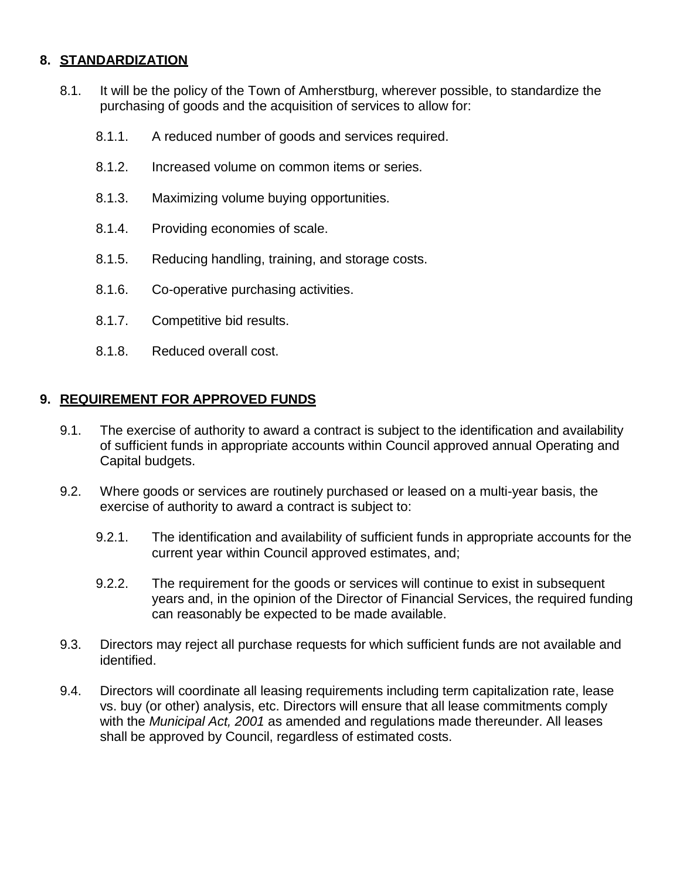# **8. STANDARDIZATION**

- 8.1. It will be the policy of the Town of Amherstburg, wherever possible, to standardize the purchasing of goods and the acquisition of services to allow for:
	- 8.1.1. A reduced number of goods and services required.
	- 8.1.2. Increased volume on common items or series.
	- 8.1.3. Maximizing volume buying opportunities.
	- 8.1.4. Providing economies of scale.
	- 8.1.5. Reducing handling, training, and storage costs.
	- 8.1.6. Co-operative purchasing activities.
	- 8.1.7. Competitive bid results.
	- 8.1.8. Reduced overall cost.

## **9. REQUIREMENT FOR APPROVED FUNDS**

- 9.1. The exercise of authority to award a contract is subject to the identification and availability of sufficient funds in appropriate accounts within Council approved annual Operating and Capital budgets.
- 9.2. Where goods or services are routinely purchased or leased on a multi-year basis, the exercise of authority to award a contract is subject to:
	- 9.2.1. The identification and availability of sufficient funds in appropriate accounts for the current year within Council approved estimates, and;
	- 9.2.2. The requirement for the goods or services will continue to exist in subsequent years and, in the opinion of the Director of Financial Services, the required funding can reasonably be expected to be made available.
- 9.3. Directors may reject all purchase requests for which sufficient funds are not available and identified.
- 9.4. Directors will coordinate all leasing requirements including term capitalization rate, lease vs. buy (or other) analysis, etc. Directors will ensure that all lease commitments comply with the *Municipal Act, 2001* as amended and regulations made thereunder. All leases shall be approved by Council, regardless of estimated costs.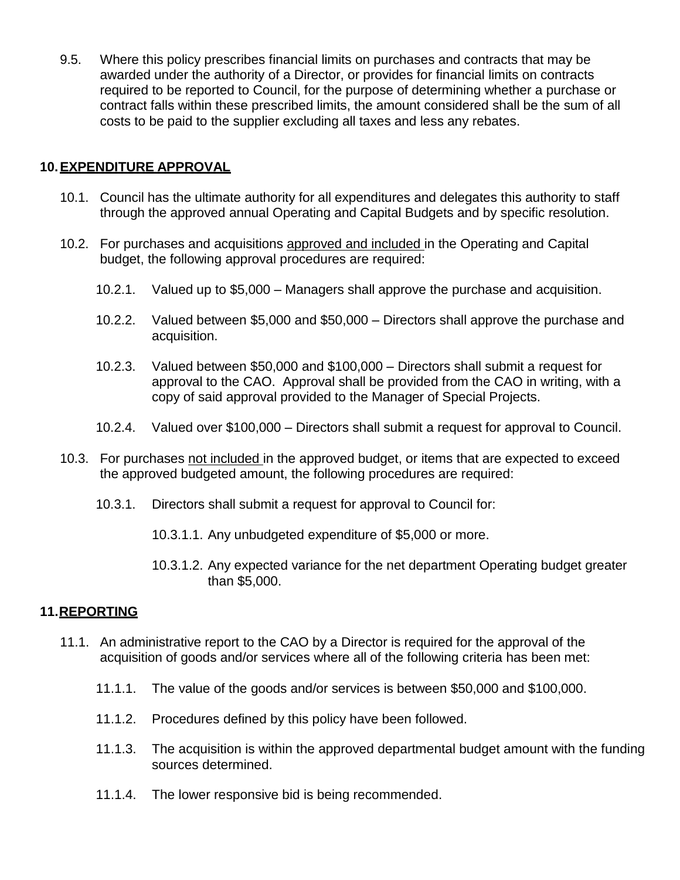9.5. Where this policy prescribes financial limits on purchases and contracts that may be awarded under the authority of a Director, or provides for financial limits on contracts required to be reported to Council, for the purpose of determining whether a purchase or contract falls within these prescribed limits, the amount considered shall be the sum of all costs to be paid to the supplier excluding all taxes and less any rebates.

## **10.EXPENDITURE APPROVAL**

- 10.1. Council has the ultimate authority for all expenditures and delegates this authority to staff through the approved annual Operating and Capital Budgets and by specific resolution.
- 10.2. For purchases and acquisitions approved and included in the Operating and Capital budget, the following approval procedures are required:
	- 10.2.1. Valued up to \$5,000 Managers shall approve the purchase and acquisition.
	- 10.2.2. Valued between \$5,000 and \$50,000 Directors shall approve the purchase and acquisition.
	- 10.2.3. Valued between \$50,000 and \$100,000 Directors shall submit a request for approval to the CAO. Approval shall be provided from the CAO in writing, with a copy of said approval provided to the Manager of Special Projects.
	- 10.2.4. Valued over \$100,000 Directors shall submit a request for approval to Council.
- 10.3. For purchases not included in the approved budget, or items that are expected to exceed the approved budgeted amount, the following procedures are required:
	- 10.3.1. Directors shall submit a request for approval to Council for:
		- 10.3.1.1. Any unbudgeted expenditure of \$5,000 or more.
		- 10.3.1.2. Any expected variance for the net department Operating budget greater than \$5,000.

#### **11.REPORTING**

- 11.1. An administrative report to the CAO by a Director is required for the approval of the acquisition of goods and/or services where all of the following criteria has been met:
	- 11.1.1. The value of the goods and/or services is between \$50,000 and \$100,000.
	- 11.1.2. Procedures defined by this policy have been followed.
	- 11.1.3. The acquisition is within the approved departmental budget amount with the funding sources determined.
	- 11.1.4. The lower responsive bid is being recommended.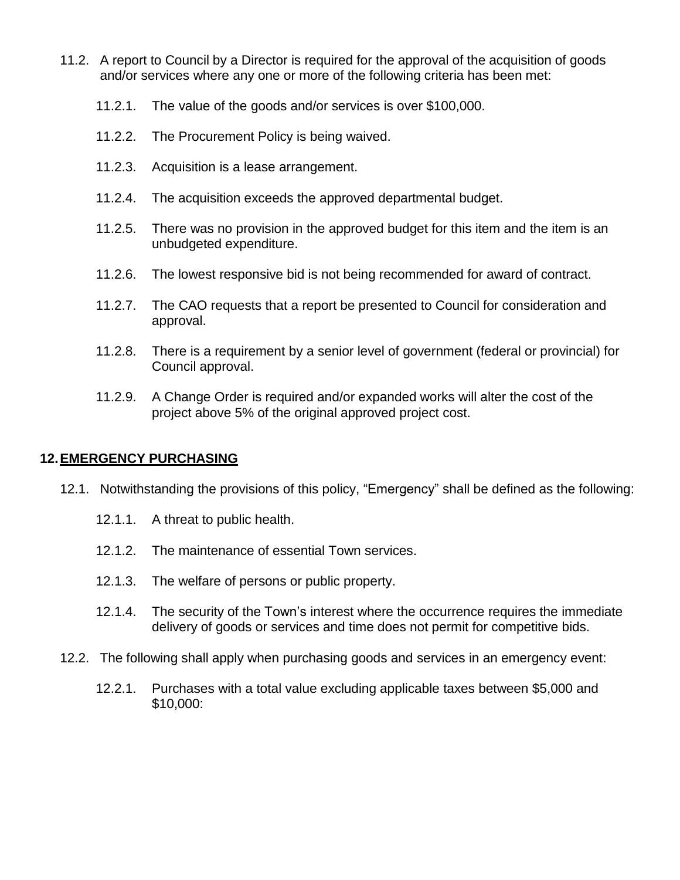- 11.2. A report to Council by a Director is required for the approval of the acquisition of goods and/or services where any one or more of the following criteria has been met:
	- 11.2.1. The value of the goods and/or services is over \$100,000.
	- 11.2.2. The Procurement Policy is being waived.
	- 11.2.3. Acquisition is a lease arrangement.
	- 11.2.4. The acquisition exceeds the approved departmental budget.
	- 11.2.5. There was no provision in the approved budget for this item and the item is an unbudgeted expenditure.
	- 11.2.6. The lowest responsive bid is not being recommended for award of contract.
	- 11.2.7. The CAO requests that a report be presented to Council for consideration and approval.
	- 11.2.8. There is a requirement by a senior level of government (federal or provincial) for Council approval.
	- 11.2.9. A Change Order is required and/or expanded works will alter the cost of the project above 5% of the original approved project cost.

#### **12.EMERGENCY PURCHASING**

- 12.1. Notwithstanding the provisions of this policy, "Emergency" shall be defined as the following:
	- 12.1.1. A threat to public health.
	- 12.1.2. The maintenance of essential Town services.
	- 12.1.3. The welfare of persons or public property.
	- 12.1.4. The security of the Town's interest where the occurrence requires the immediate delivery of goods or services and time does not permit for competitive bids.
- 12.2. The following shall apply when purchasing goods and services in an emergency event:
	- 12.2.1. Purchases with a total value excluding applicable taxes between \$5,000 and \$10,000: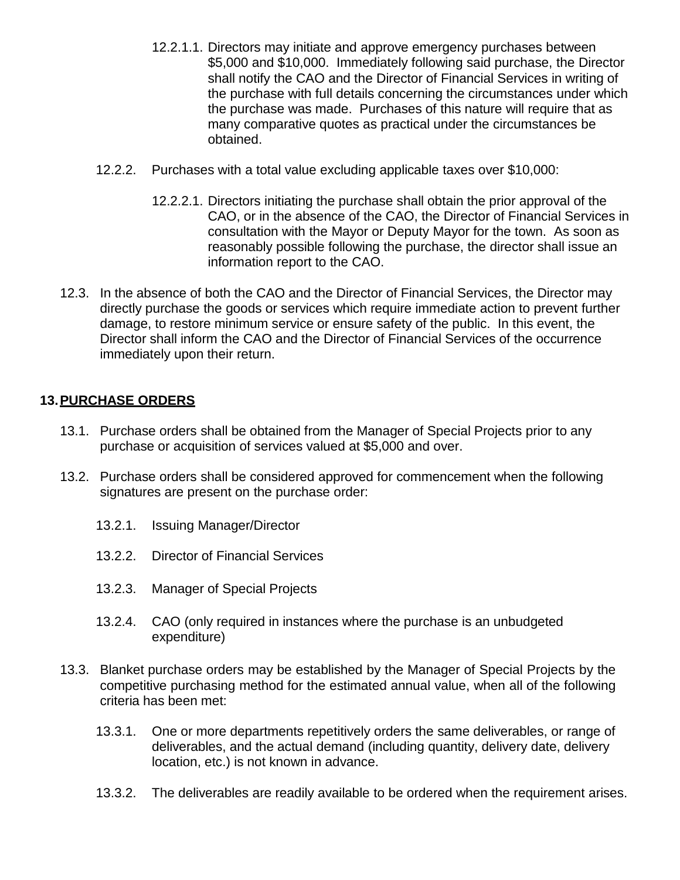- 12.2.1.1. Directors may initiate and approve emergency purchases between \$5,000 and \$10,000. Immediately following said purchase, the Director shall notify the CAO and the Director of Financial Services in writing of the purchase with full details concerning the circumstances under which the purchase was made. Purchases of this nature will require that as many comparative quotes as practical under the circumstances be obtained.
- 12.2.2. Purchases with a total value excluding applicable taxes over \$10,000:
	- 12.2.2.1. Directors initiating the purchase shall obtain the prior approval of the CAO, or in the absence of the CAO, the Director of Financial Services in consultation with the Mayor or Deputy Mayor for the town. As soon as reasonably possible following the purchase, the director shall issue an information report to the CAO.
- 12.3. In the absence of both the CAO and the Director of Financial Services, the Director may directly purchase the goods or services which require immediate action to prevent further damage, to restore minimum service or ensure safety of the public. In this event, the Director shall inform the CAO and the Director of Financial Services of the occurrence immediately upon their return.

#### **13.PURCHASE ORDERS**

- 13.1. Purchase orders shall be obtained from the Manager of Special Projects prior to any purchase or acquisition of services valued at \$5,000 and over.
- 13.2. Purchase orders shall be considered approved for commencement when the following signatures are present on the purchase order:
	- 13.2.1. Issuing Manager/Director
	- 13.2.2. Director of Financial Services
	- 13.2.3. Manager of Special Projects
	- 13.2.4. CAO (only required in instances where the purchase is an unbudgeted expenditure)
- 13.3. Blanket purchase orders may be established by the Manager of Special Projects by the competitive purchasing method for the estimated annual value, when all of the following criteria has been met:
	- 13.3.1. One or more departments repetitively orders the same deliverables, or range of deliverables, and the actual demand (including quantity, delivery date, delivery location, etc.) is not known in advance.
	- 13.3.2. The deliverables are readily available to be ordered when the requirement arises.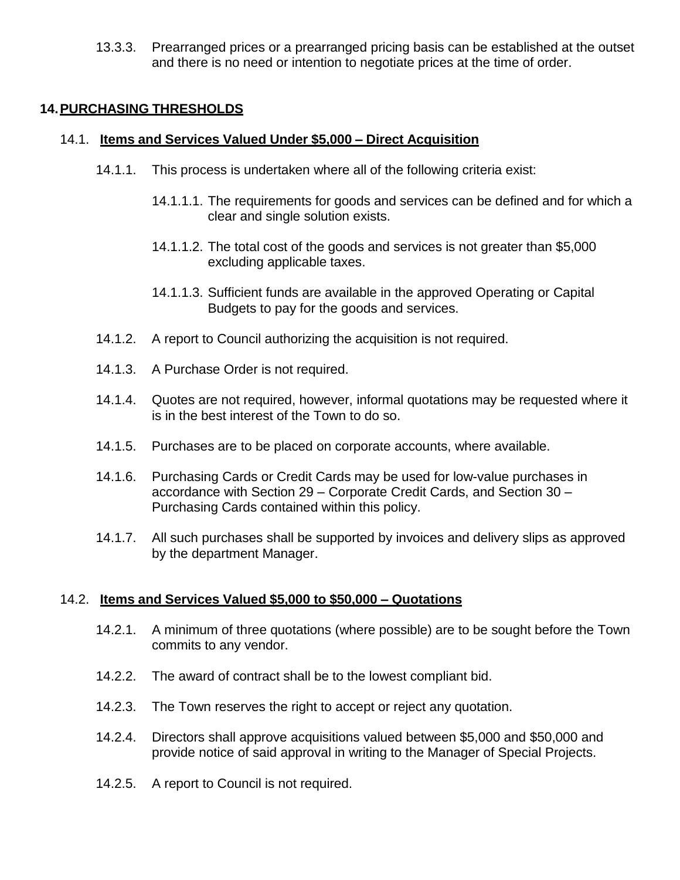13.3.3. Prearranged prices or a prearranged pricing basis can be established at the outset and there is no need or intention to negotiate prices at the time of order.

#### **14.PURCHASING THRESHOLDS**

#### 14.1. **Items and Services Valued Under \$5,000 – Direct Acquisition**

- 14.1.1. This process is undertaken where all of the following criteria exist:
	- 14.1.1.1. The requirements for goods and services can be defined and for which a clear and single solution exists.
	- 14.1.1.2. The total cost of the goods and services is not greater than \$5,000 excluding applicable taxes.
	- 14.1.1.3. Sufficient funds are available in the approved Operating or Capital Budgets to pay for the goods and services.
- 14.1.2. A report to Council authorizing the acquisition is not required.
- 14.1.3. A Purchase Order is not required.
- 14.1.4. Quotes are not required, however, informal quotations may be requested where it is in the best interest of the Town to do so.
- 14.1.5. Purchases are to be placed on corporate accounts, where available.
- 14.1.6. Purchasing Cards or Credit Cards may be used for low-value purchases in accordance with Section 29 – Corporate Credit Cards, and Section 30 – Purchasing Cards contained within this policy.
- 14.1.7. All such purchases shall be supported by invoices and delivery slips as approved by the department Manager.

#### 14.2. **Items and Services Valued \$5,000 to \$50,000 – Quotations**

- 14.2.1. A minimum of three quotations (where possible) are to be sought before the Town commits to any vendor.
- 14.2.2. The award of contract shall be to the lowest compliant bid.
- 14.2.3. The Town reserves the right to accept or reject any quotation.
- 14.2.4. Directors shall approve acquisitions valued between \$5,000 and \$50,000 and provide notice of said approval in writing to the Manager of Special Projects.
- 14.2.5. A report to Council is not required.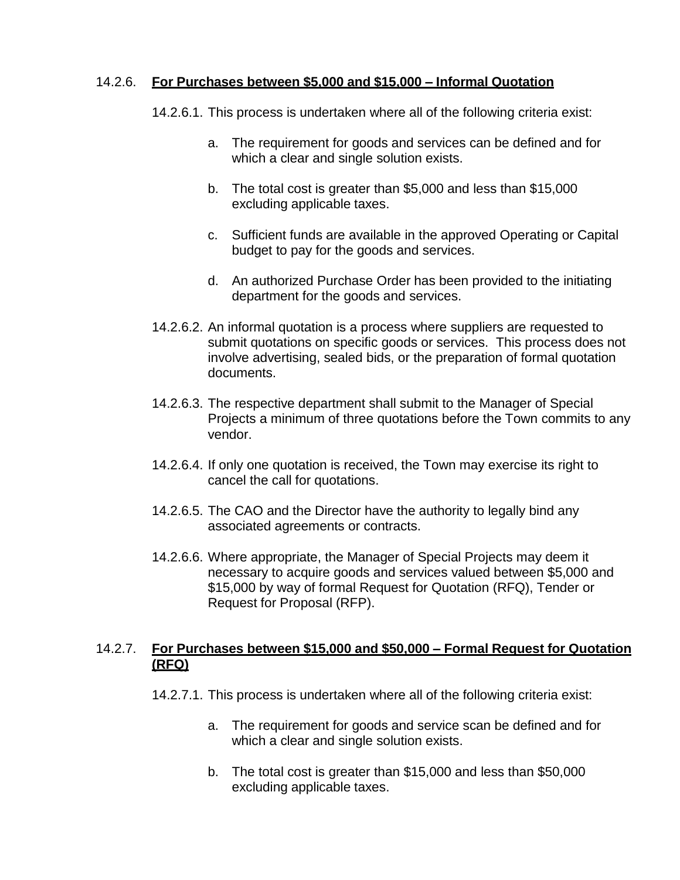#### 14.2.6. **For Purchases between \$5,000 and \$15,000 – Informal Quotation**

- 14.2.6.1. This process is undertaken where all of the following criteria exist:
	- a. The requirement for goods and services can be defined and for which a clear and single solution exists.
	- b. The total cost is greater than \$5,000 and less than \$15,000 excluding applicable taxes.
	- c. Sufficient funds are available in the approved Operating or Capital budget to pay for the goods and services.
	- d. An authorized Purchase Order has been provided to the initiating department for the goods and services.
- 14.2.6.2. An informal quotation is a process where suppliers are requested to submit quotations on specific goods or services. This process does not involve advertising, sealed bids, or the preparation of formal quotation documents.
- 14.2.6.3. The respective department shall submit to the Manager of Special Projects a minimum of three quotations before the Town commits to any vendor.
- 14.2.6.4. If only one quotation is received, the Town may exercise its right to cancel the call for quotations.
- 14.2.6.5. The CAO and the Director have the authority to legally bind any associated agreements or contracts.
- 14.2.6.6. Where appropriate, the Manager of Special Projects may deem it necessary to acquire goods and services valued between \$5,000 and \$15,000 by way of formal Request for Quotation (RFQ), Tender or Request for Proposal (RFP).

#### 14.2.7. **For Purchases between \$15,000 and \$50,000 – Formal Request for Quotation (RFQ)**

- 14.2.7.1. This process is undertaken where all of the following criteria exist:
	- a. The requirement for goods and service scan be defined and for which a clear and single solution exists.
	- b. The total cost is greater than \$15,000 and less than \$50,000 excluding applicable taxes.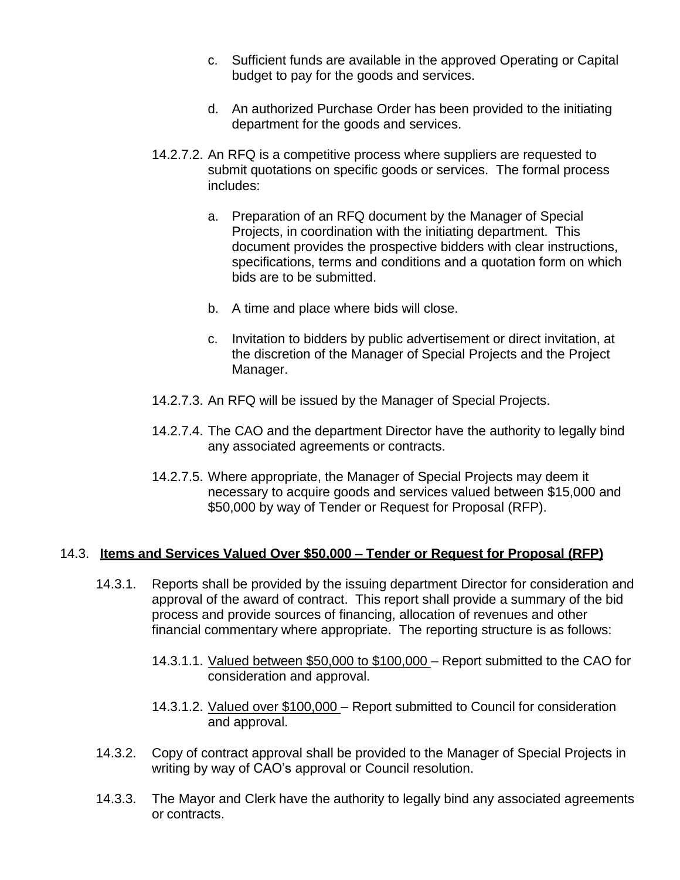- c. Sufficient funds are available in the approved Operating or Capital budget to pay for the goods and services.
- d. An authorized Purchase Order has been provided to the initiating department for the goods and services.
- 14.2.7.2. An RFQ is a competitive process where suppliers are requested to submit quotations on specific goods or services. The formal process includes:
	- a. Preparation of an RFQ document by the Manager of Special Projects, in coordination with the initiating department. This document provides the prospective bidders with clear instructions, specifications, terms and conditions and a quotation form on which bids are to be submitted.
	- b. A time and place where bids will close.
	- c. Invitation to bidders by public advertisement or direct invitation, at the discretion of the Manager of Special Projects and the Project Manager.
- 14.2.7.3. An RFQ will be issued by the Manager of Special Projects.
- 14.2.7.4. The CAO and the department Director have the authority to legally bind any associated agreements or contracts.
- 14.2.7.5. Where appropriate, the Manager of Special Projects may deem it necessary to acquire goods and services valued between \$15,000 and \$50,000 by way of Tender or Request for Proposal (RFP).

#### 14.3. **Items and Services Valued Over \$50,000 – Tender or Request for Proposal (RFP)**

- 14.3.1. Reports shall be provided by the issuing department Director for consideration and approval of the award of contract. This report shall provide a summary of the bid process and provide sources of financing, allocation of revenues and other financial commentary where appropriate. The reporting structure is as follows:
	- 14.3.1.1. Valued between \$50,000 to \$100,000 Report submitted to the CAO for consideration and approval.
	- 14.3.1.2. Valued over \$100,000 Report submitted to Council for consideration and approval.
- 14.3.2. Copy of contract approval shall be provided to the Manager of Special Projects in writing by way of CAO's approval or Council resolution.
- 14.3.3. The Mayor and Clerk have the authority to legally bind any associated agreements or contracts.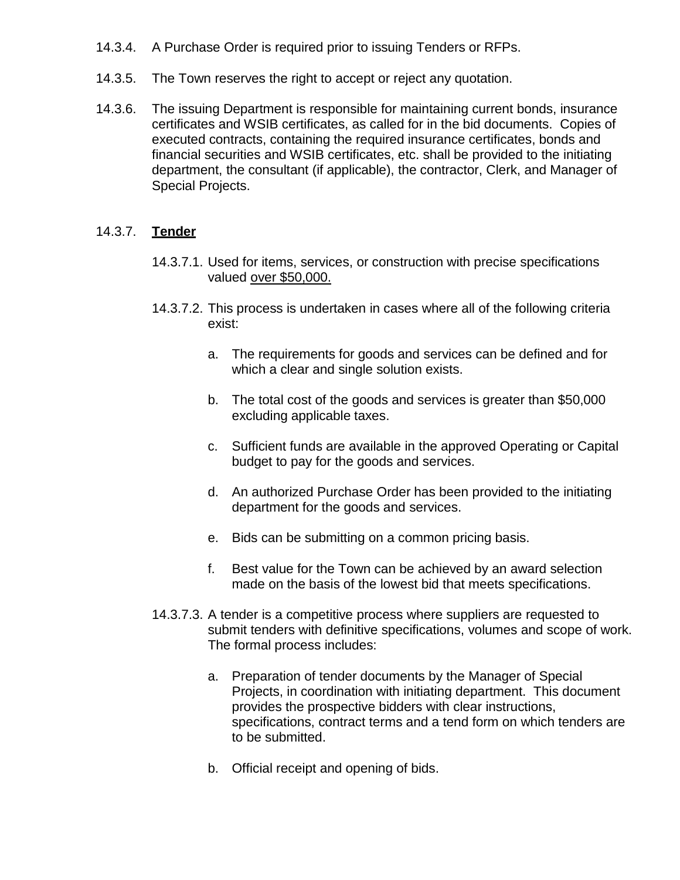- 14.3.4. A Purchase Order is required prior to issuing Tenders or RFPs.
- 14.3.5. The Town reserves the right to accept or reject any quotation.
- 14.3.6. The issuing Department is responsible for maintaining current bonds, insurance certificates and WSIB certificates, as called for in the bid documents. Copies of executed contracts, containing the required insurance certificates, bonds and financial securities and WSIB certificates, etc. shall be provided to the initiating department, the consultant (if applicable), the contractor, Clerk, and Manager of Special Projects.

## 14.3.7. **Tender**

- 14.3.7.1. Used for items, services, or construction with precise specifications valued over \$50,000.
- 14.3.7.2. This process is undertaken in cases where all of the following criteria exist:
	- a. The requirements for goods and services can be defined and for which a clear and single solution exists.
	- b. The total cost of the goods and services is greater than \$50,000 excluding applicable taxes.
	- c. Sufficient funds are available in the approved Operating or Capital budget to pay for the goods and services.
	- d. An authorized Purchase Order has been provided to the initiating department for the goods and services.
	- e. Bids can be submitting on a common pricing basis.
	- f. Best value for the Town can be achieved by an award selection made on the basis of the lowest bid that meets specifications.
- 14.3.7.3. A tender is a competitive process where suppliers are requested to submit tenders with definitive specifications, volumes and scope of work. The formal process includes:
	- a. Preparation of tender documents by the Manager of Special Projects, in coordination with initiating department. This document provides the prospective bidders with clear instructions, specifications, contract terms and a tend form on which tenders are to be submitted.
	- b. Official receipt and opening of bids.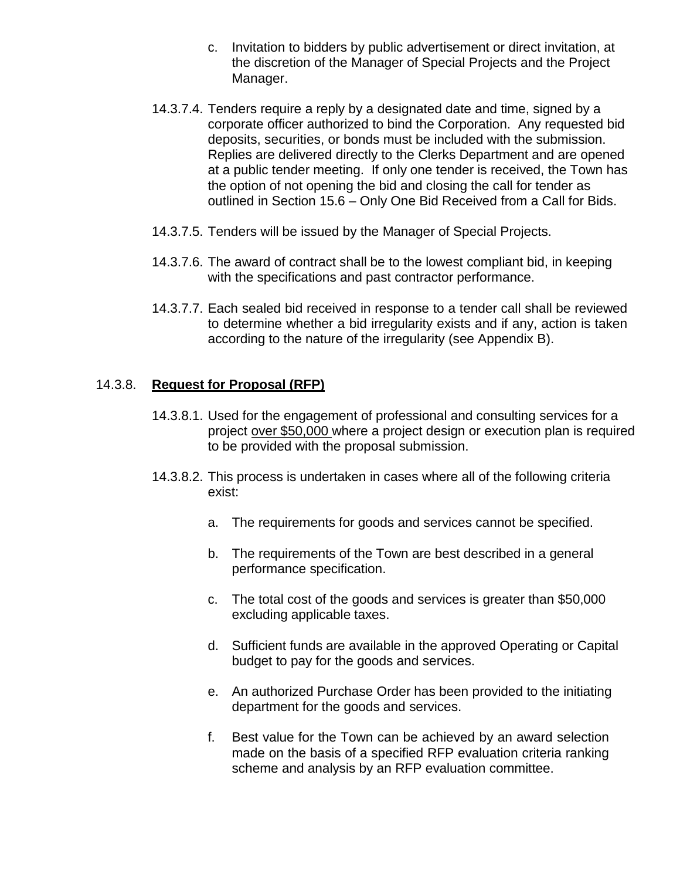- c. Invitation to bidders by public advertisement or direct invitation, at the discretion of the Manager of Special Projects and the Project Manager.
- 14.3.7.4. Tenders require a reply by a designated date and time, signed by a corporate officer authorized to bind the Corporation. Any requested bid deposits, securities, or bonds must be included with the submission. Replies are delivered directly to the Clerks Department and are opened at a public tender meeting. If only one tender is received, the Town has the option of not opening the bid and closing the call for tender as outlined in Section 15.6 – Only One Bid Received from a Call for Bids.
- 14.3.7.5. Tenders will be issued by the Manager of Special Projects.
- 14.3.7.6. The award of contract shall be to the lowest compliant bid, in keeping with the specifications and past contractor performance.
- 14.3.7.7. Each sealed bid received in response to a tender call shall be reviewed to determine whether a bid irregularity exists and if any, action is taken according to the nature of the irregularity (see Appendix B).

#### 14.3.8. **Request for Proposal (RFP)**

- 14.3.8.1. Used for the engagement of professional and consulting services for a project over \$50,000 where a project design or execution plan is required to be provided with the proposal submission.
- 14.3.8.2. This process is undertaken in cases where all of the following criteria exist:
	- a. The requirements for goods and services cannot be specified.
	- b. The requirements of the Town are best described in a general performance specification.
	- c. The total cost of the goods and services is greater than \$50,000 excluding applicable taxes.
	- d. Sufficient funds are available in the approved Operating or Capital budget to pay for the goods and services.
	- e. An authorized Purchase Order has been provided to the initiating department for the goods and services.
	- f. Best value for the Town can be achieved by an award selection made on the basis of a specified RFP evaluation criteria ranking scheme and analysis by an RFP evaluation committee.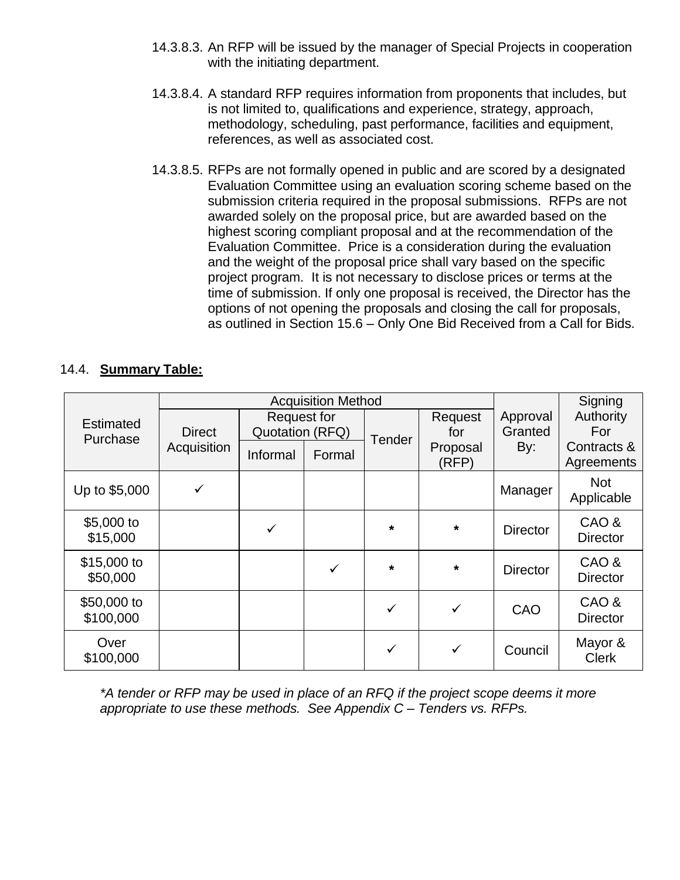- 14.3.8.3. An RFP will be issued by the manager of Special Projects in cooperation with the initiating department.
- 14.3.8.4. A standard RFP requires information from proponents that includes, but is not limited to, qualifications and experience, strategy, approach, methodology, scheduling, past performance, facilities and equipment, references, as well as associated cost.
- 14.3.8.5. RFPs are not formally opened in public and are scored by a designated Evaluation Committee using an evaluation scoring scheme based on the submission criteria required in the proposal submissions. RFPs are not awarded solely on the proposal price, but are awarded based on the highest scoring compliant proposal and at the recommendation of the Evaluation Committee. Price is a consideration during the evaluation and the weight of the proposal price shall vary based on the specific project program. It is not necessary to disclose prices or terms at the time of submission. If only one proposal is received, the Director has the options of not opening the proposals and closing the call for proposals, as outlined in Section 15.6 – Only One Bid Received from a Call for Bids.

## 14.4. **Summary Table:**

|                              |               | <b>Acquisition Method</b>             |              | Signing       |                   |                     |                           |
|------------------------------|---------------|---------------------------------------|--------------|---------------|-------------------|---------------------|---------------------------|
| <b>Estimated</b><br>Purchase | <b>Direct</b> | <b>Request for</b><br>Quotation (RFQ) |              | <b>Tender</b> | Request<br>for    | Approval<br>Granted | Authority<br>For          |
|                              | Acquisition   | Informal                              | Formal       |               | Proposal<br>(RFP) | By:                 | Contracts &<br>Agreements |
| Up to \$5,000                | ✓             |                                       |              |               |                   | Manager             | <b>Not</b><br>Applicable  |
| \$5,000 to<br>\$15,000       |               | $\checkmark$                          |              | *             | $\star$           | <b>Director</b>     | CAO&<br><b>Director</b>   |
| \$15,000 to<br>\$50,000      |               |                                       | $\checkmark$ | $\star$       | $\star$           | <b>Director</b>     | CAO &<br><b>Director</b>  |
| \$50,000 to<br>\$100,000     |               |                                       |              | $\checkmark$  | $\checkmark$      | CAO                 | CAO&<br><b>Director</b>   |
| Over<br>\$100,000            |               |                                       |              | ✓             | ✓                 | Council             | Mayor &<br><b>Clerk</b>   |

*\*A tender or RFP may be used in place of an RFQ if the project scope deems it more appropriate to use these methods. See Appendix C – Tenders vs. RFPs.*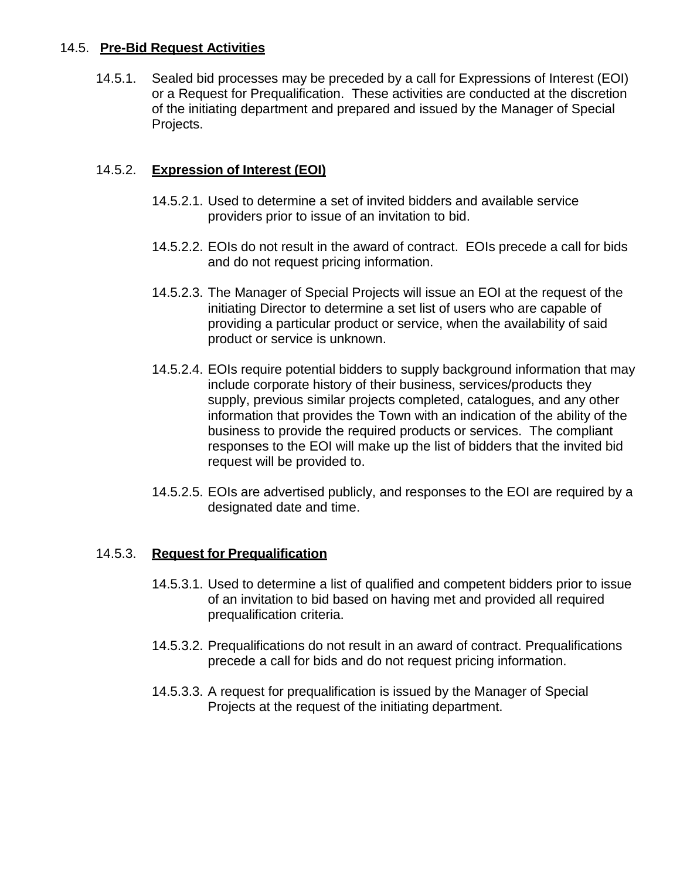#### 14.5. **Pre-Bid Request Activities**

14.5.1. Sealed bid processes may be preceded by a call for Expressions of Interest (EOI) or a Request for Prequalification. These activities are conducted at the discretion of the initiating department and prepared and issued by the Manager of Special Projects.

## 14.5.2. **Expression of Interest (EOI)**

- 14.5.2.1. Used to determine a set of invited bidders and available service providers prior to issue of an invitation to bid.
- 14.5.2.2. EOIs do not result in the award of contract. EOIs precede a call for bids and do not request pricing information.
- 14.5.2.3. The Manager of Special Projects will issue an EOI at the request of the initiating Director to determine a set list of users who are capable of providing a particular product or service, when the availability of said product or service is unknown.
- 14.5.2.4. EOIs require potential bidders to supply background information that may include corporate history of their business, services/products they supply, previous similar projects completed, catalogues, and any other information that provides the Town with an indication of the ability of the business to provide the required products or services. The compliant responses to the EOI will make up the list of bidders that the invited bid request will be provided to.
- 14.5.2.5. EOIs are advertised publicly, and responses to the EOI are required by a designated date and time.

## 14.5.3. **Request for Prequalification**

- 14.5.3.1. Used to determine a list of qualified and competent bidders prior to issue of an invitation to bid based on having met and provided all required prequalification criteria.
- 14.5.3.2. Prequalifications do not result in an award of contract. Prequalifications precede a call for bids and do not request pricing information.
- 14.5.3.3. A request for prequalification is issued by the Manager of Special Projects at the request of the initiating department.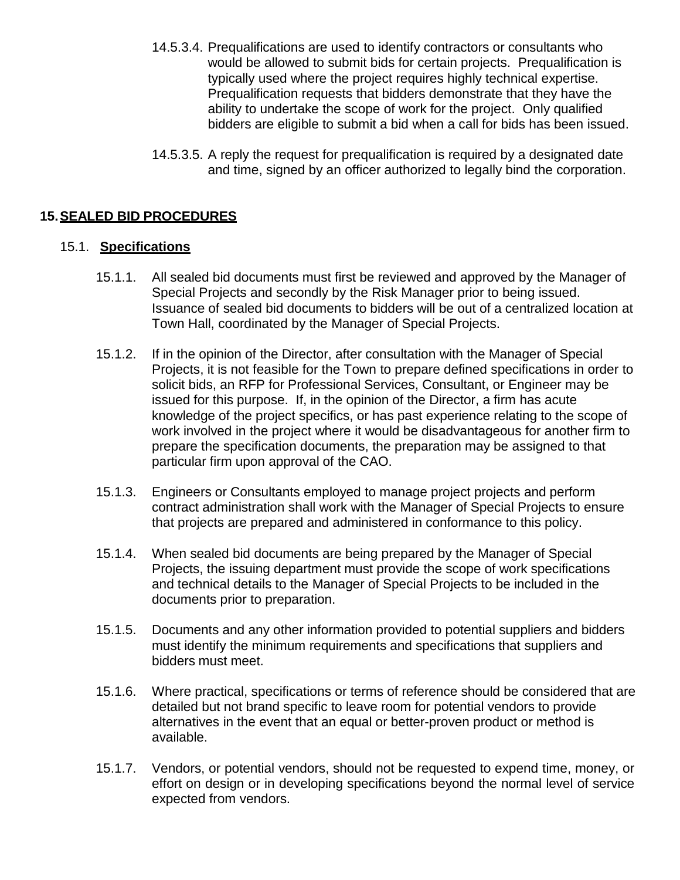- 14.5.3.4. Prequalifications are used to identify contractors or consultants who would be allowed to submit bids for certain projects. Prequalification is typically used where the project requires highly technical expertise. Prequalification requests that bidders demonstrate that they have the ability to undertake the scope of work for the project. Only qualified bidders are eligible to submit a bid when a call for bids has been issued.
- 14.5.3.5. A reply the request for prequalification is required by a designated date and time, signed by an officer authorized to legally bind the corporation.

#### **15.SEALED BID PROCEDURES**

#### 15.1. **Specifications**

- 15.1.1. All sealed bid documents must first be reviewed and approved by the Manager of Special Projects and secondly by the Risk Manager prior to being issued. Issuance of sealed bid documents to bidders will be out of a centralized location at Town Hall, coordinated by the Manager of Special Projects.
- 15.1.2. If in the opinion of the Director, after consultation with the Manager of Special Projects, it is not feasible for the Town to prepare defined specifications in order to solicit bids, an RFP for Professional Services, Consultant, or Engineer may be issued for this purpose. If, in the opinion of the Director, a firm has acute knowledge of the project specifics, or has past experience relating to the scope of work involved in the project where it would be disadvantageous for another firm to prepare the specification documents, the preparation may be assigned to that particular firm upon approval of the CAO.
- 15.1.3. Engineers or Consultants employed to manage project projects and perform contract administration shall work with the Manager of Special Projects to ensure that projects are prepared and administered in conformance to this policy.
- 15.1.4. When sealed bid documents are being prepared by the Manager of Special Projects, the issuing department must provide the scope of work specifications and technical details to the Manager of Special Projects to be included in the documents prior to preparation.
- 15.1.5. Documents and any other information provided to potential suppliers and bidders must identify the minimum requirements and specifications that suppliers and bidders must meet.
- 15.1.6. Where practical, specifications or terms of reference should be considered that are detailed but not brand specific to leave room for potential vendors to provide alternatives in the event that an equal or better-proven product or method is available.
- 15.1.7. Vendors, or potential vendors, should not be requested to expend time, money, or effort on design or in developing specifications beyond the normal level of service expected from vendors.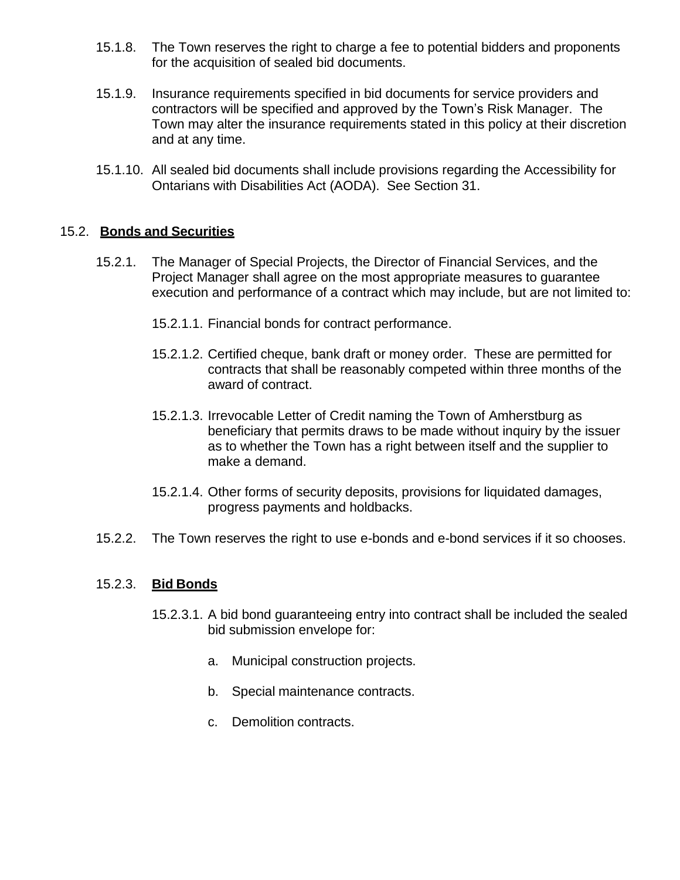- 15.1.8. The Town reserves the right to charge a fee to potential bidders and proponents for the acquisition of sealed bid documents.
- 15.1.9. Insurance requirements specified in bid documents for service providers and contractors will be specified and approved by the Town's Risk Manager. The Town may alter the insurance requirements stated in this policy at their discretion and at any time.
- 15.1.10. All sealed bid documents shall include provisions regarding the Accessibility for Ontarians with Disabilities Act (AODA). See Section 31.

#### 15.2. **Bonds and Securities**

- 15.2.1. The Manager of Special Projects, the Director of Financial Services, and the Project Manager shall agree on the most appropriate measures to guarantee execution and performance of a contract which may include, but are not limited to:
	- 15.2.1.1. Financial bonds for contract performance.
	- 15.2.1.2. Certified cheque, bank draft or money order. These are permitted for contracts that shall be reasonably competed within three months of the award of contract.
	- 15.2.1.3. Irrevocable Letter of Credit naming the Town of Amherstburg as beneficiary that permits draws to be made without inquiry by the issuer as to whether the Town has a right between itself and the supplier to make a demand.
	- 15.2.1.4. Other forms of security deposits, provisions for liquidated damages, progress payments and holdbacks.
- 15.2.2. The Town reserves the right to use e-bonds and e-bond services if it so chooses.

#### 15.2.3. **Bid Bonds**

- 15.2.3.1. A bid bond guaranteeing entry into contract shall be included the sealed bid submission envelope for:
	- a. Municipal construction projects.
	- b. Special maintenance contracts.
	- c. Demolition contracts.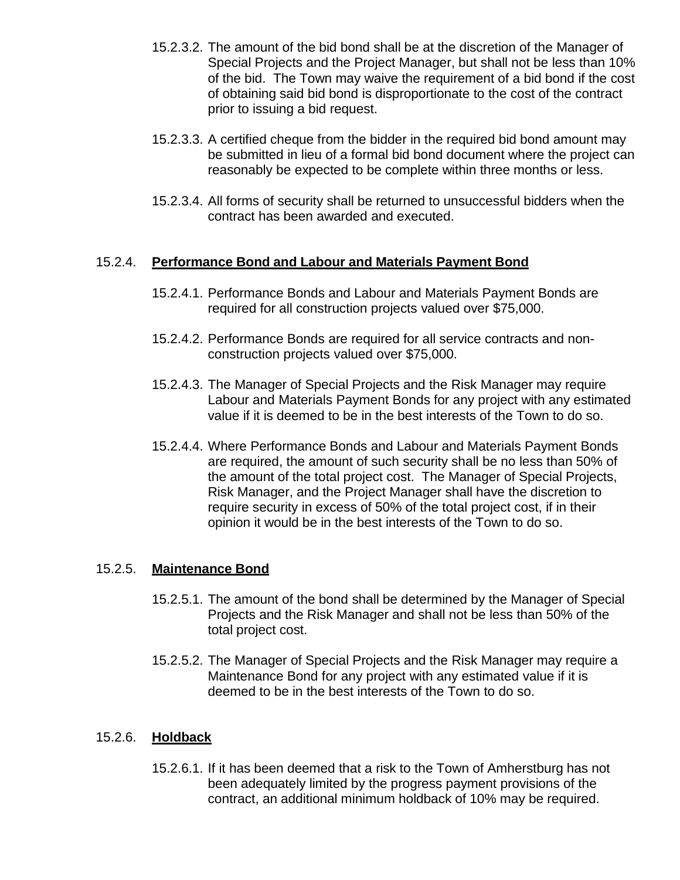- 15.2.3.2. The amount of the bid bond shall be at the discretion of the Manager of Special Projects and the Project Manager, but shall not be less than 10% of the bid. The Town may waive the requirement of a bid bond if the cost of obtaining said bid bond is disproportionate to the cost of the contract prior to issuing a bid request.
- 15.2.3.3. A certified cheque from the bidder in the required bid bond amount may be submitted in lieu of a formal bid bond document where the project can reasonably be expected to be complete within three months or less.
- 15.2.3.4. All forms of security shall be returned to unsuccessful bidders when the contract has been awarded and executed.

#### 15.2.4. **Performance Bond and Labour and Materials Payment Bond**

- 15.2.4.1. Performance Bonds and Labour and Materials Payment Bonds are required for all construction projects valued over \$75,000.
- 15.2.4.2. Performance Bonds are required for all service contracts and nonconstruction projects valued over \$75,000.
- 15.2.4.3. The Manager of Special Projects and the Risk Manager may require Labour and Materials Payment Bonds for any project with any estimated value if it is deemed to be in the best interests of the Town to do so.
- 15.2.4.4. Where Performance Bonds and Labour and Materials Payment Bonds are required, the amount of such security shall be no less than 50% of the amount of the total project cost. The Manager of Special Projects, Risk Manager, and the Project Manager shall have the discretion to require security in excess of 50% of the total project cost, if in their opinion it would be in the best interests of the Town to do so.

#### 15.2.5. **Maintenance Bond**

- 15.2.5.1. The amount of the bond shall be determined by the Manager of Special Projects and the Risk Manager and shall not be less than 50% of the total project cost.
- 15.2.5.2. The Manager of Special Projects and the Risk Manager may require a Maintenance Bond for any project with any estimated value if it is deemed to be in the best interests of the Town to do so.

## 15.2.6. **Holdback**

15.2.6.1. If it has been deemed that a risk to the Town of Amherstburg has not been adequately limited by the progress payment provisions of the contract, an additional minimum holdback of 10% may be required.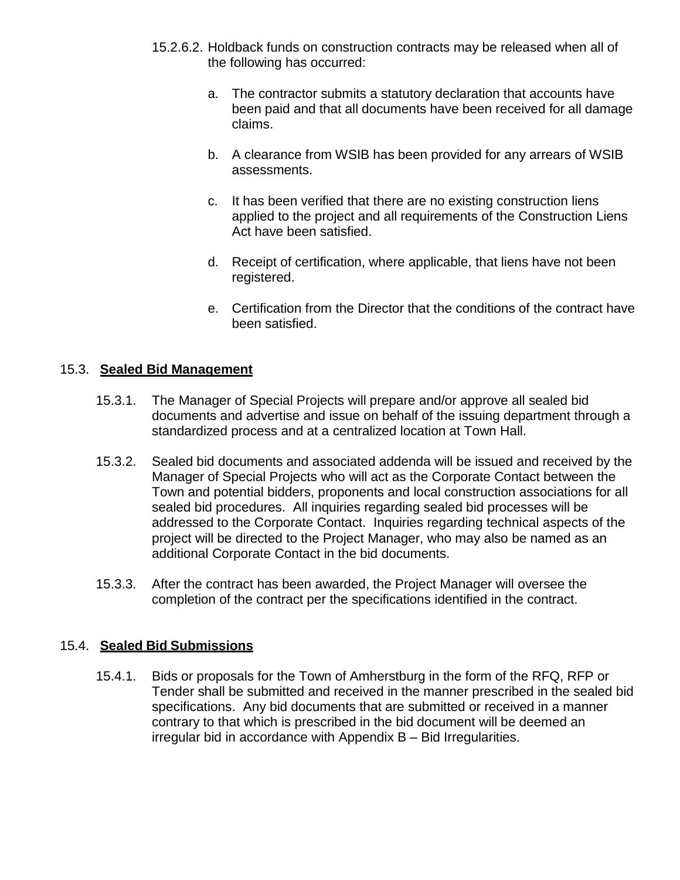- 15.2.6.2. Holdback funds on construction contracts may be released when all of the following has occurred:
	- a. The contractor submits a statutory declaration that accounts have been paid and that all documents have been received for all damage claims.
	- b. A clearance from WSIB has been provided for any arrears of WSIB assessments.
	- c. It has been verified that there are no existing construction liens applied to the project and all requirements of the Construction Liens Act have been satisfied.
	- d. Receipt of certification, where applicable, that liens have not been registered.
	- e. Certification from the Director that the conditions of the contract have been satisfied.

## 15.3. **Sealed Bid Management**

- 15.3.1. The Manager of Special Projects will prepare and/or approve all sealed bid documents and advertise and issue on behalf of the issuing department through a standardized process and at a centralized location at Town Hall.
- 15.3.2. Sealed bid documents and associated addenda will be issued and received by the Manager of Special Projects who will act as the Corporate Contact between the Town and potential bidders, proponents and local construction associations for all sealed bid procedures. All inquiries regarding sealed bid processes will be addressed to the Corporate Contact. Inquiries regarding technical aspects of the project will be directed to the Project Manager, who may also be named as an additional Corporate Contact in the bid documents.
- 15.3.3. After the contract has been awarded, the Project Manager will oversee the completion of the contract per the specifications identified in the contract.

## 15.4. **Sealed Bid Submissions**

15.4.1. Bids or proposals for the Town of Amherstburg in the form of the RFQ, RFP or Tender shall be submitted and received in the manner prescribed in the sealed bid specifications. Any bid documents that are submitted or received in a manner contrary to that which is prescribed in the bid document will be deemed an irregular bid in accordance with Appendix B – Bid Irregularities.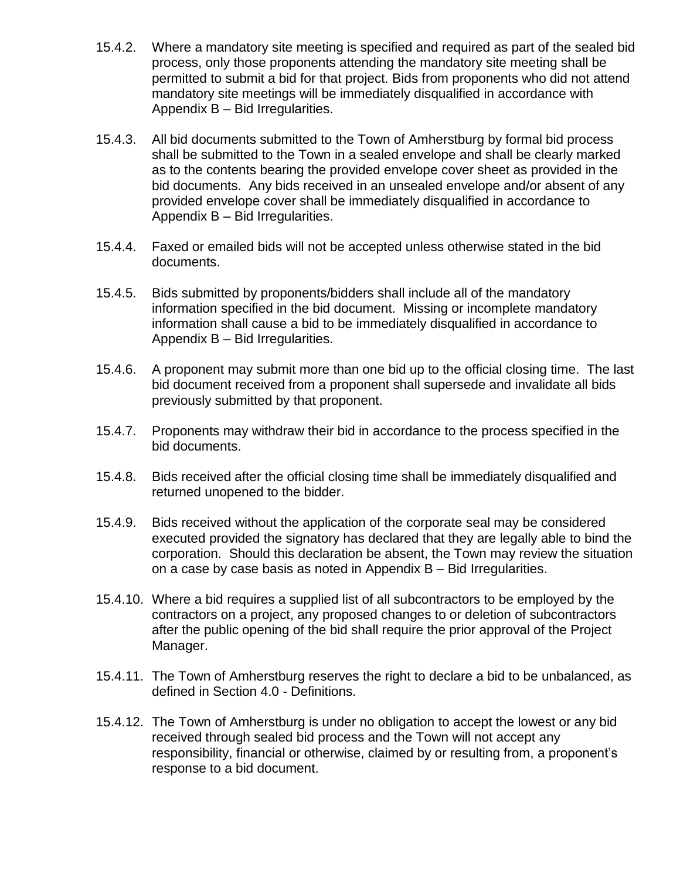- 15.4.2. Where a mandatory site meeting is specified and required as part of the sealed bid process, only those proponents attending the mandatory site meeting shall be permitted to submit a bid for that project. Bids from proponents who did not attend mandatory site meetings will be immediately disqualified in accordance with Appendix B – Bid Irregularities.
- 15.4.3. All bid documents submitted to the Town of Amherstburg by formal bid process shall be submitted to the Town in a sealed envelope and shall be clearly marked as to the contents bearing the provided envelope cover sheet as provided in the bid documents. Any bids received in an unsealed envelope and/or absent of any provided envelope cover shall be immediately disqualified in accordance to Appendix B – Bid Irregularities.
- 15.4.4. Faxed or emailed bids will not be accepted unless otherwise stated in the bid documents.
- 15.4.5. Bids submitted by proponents/bidders shall include all of the mandatory information specified in the bid document. Missing or incomplete mandatory information shall cause a bid to be immediately disqualified in accordance to Appendix B – Bid Irregularities.
- 15.4.6. A proponent may submit more than one bid up to the official closing time. The last bid document received from a proponent shall supersede and invalidate all bids previously submitted by that proponent.
- 15.4.7. Proponents may withdraw their bid in accordance to the process specified in the bid documents.
- 15.4.8. Bids received after the official closing time shall be immediately disqualified and returned unopened to the bidder.
- 15.4.9. Bids received without the application of the corporate seal may be considered executed provided the signatory has declared that they are legally able to bind the corporation. Should this declaration be absent, the Town may review the situation on a case by case basis as noted in Appendix B – Bid Irregularities.
- 15.4.10. Where a bid requires a supplied list of all subcontractors to be employed by the contractors on a project, any proposed changes to or deletion of subcontractors after the public opening of the bid shall require the prior approval of the Project Manager.
- 15.4.11. The Town of Amherstburg reserves the right to declare a bid to be unbalanced, as defined in Section 4.0 - Definitions.
- 15.4.12. The Town of Amherstburg is under no obligation to accept the lowest or any bid received through sealed bid process and the Town will not accept any responsibility, financial or otherwise, claimed by or resulting from, a proponent's response to a bid document.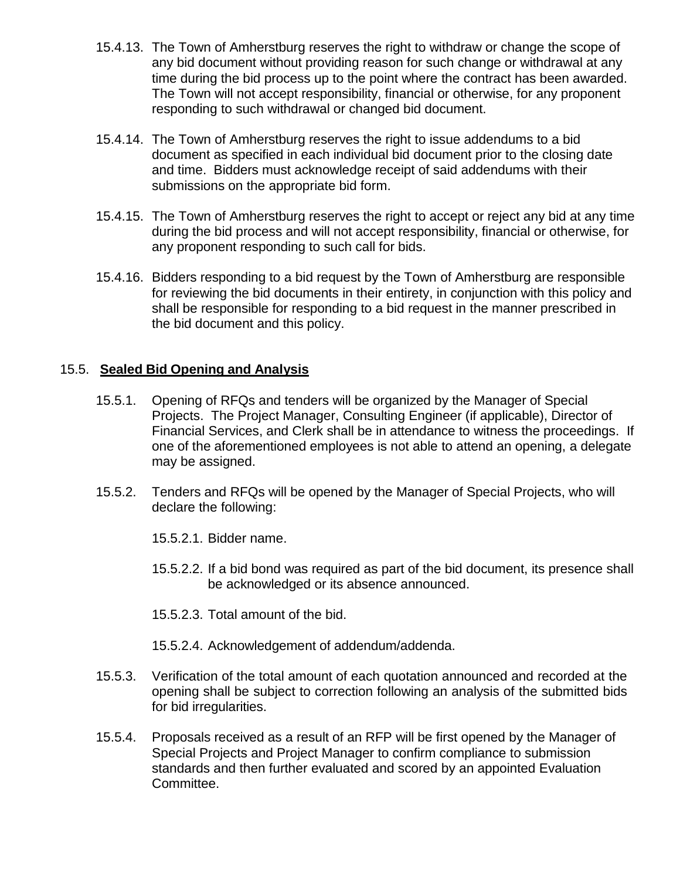- 15.4.13. The Town of Amherstburg reserves the right to withdraw or change the scope of any bid document without providing reason for such change or withdrawal at any time during the bid process up to the point where the contract has been awarded. The Town will not accept responsibility, financial or otherwise, for any proponent responding to such withdrawal or changed bid document.
- 15.4.14. The Town of Amherstburg reserves the right to issue addendums to a bid document as specified in each individual bid document prior to the closing date and time. Bidders must acknowledge receipt of said addendums with their submissions on the appropriate bid form.
- 15.4.15. The Town of Amherstburg reserves the right to accept or reject any bid at any time during the bid process and will not accept responsibility, financial or otherwise, for any proponent responding to such call for bids.
- 15.4.16. Bidders responding to a bid request by the Town of Amherstburg are responsible for reviewing the bid documents in their entirety, in conjunction with this policy and shall be responsible for responding to a bid request in the manner prescribed in the bid document and this policy.

#### 15.5. **Sealed Bid Opening and Analysis**

- 15.5.1. Opening of RFQs and tenders will be organized by the Manager of Special Projects. The Project Manager, Consulting Engineer (if applicable), Director of Financial Services, and Clerk shall be in attendance to witness the proceedings. If one of the aforementioned employees is not able to attend an opening, a delegate may be assigned.
- 15.5.2. Tenders and RFQs will be opened by the Manager of Special Projects, who will declare the following:

15.5.2.1. Bidder name.

- 15.5.2.2. If a bid bond was required as part of the bid document, its presence shall be acknowledged or its absence announced.
- 15.5.2.3. Total amount of the bid.
- 15.5.2.4. Acknowledgement of addendum/addenda.
- 15.5.3. Verification of the total amount of each quotation announced and recorded at the opening shall be subject to correction following an analysis of the submitted bids for bid irregularities.
- 15.5.4. Proposals received as a result of an RFP will be first opened by the Manager of Special Projects and Project Manager to confirm compliance to submission standards and then further evaluated and scored by an appointed Evaluation Committee.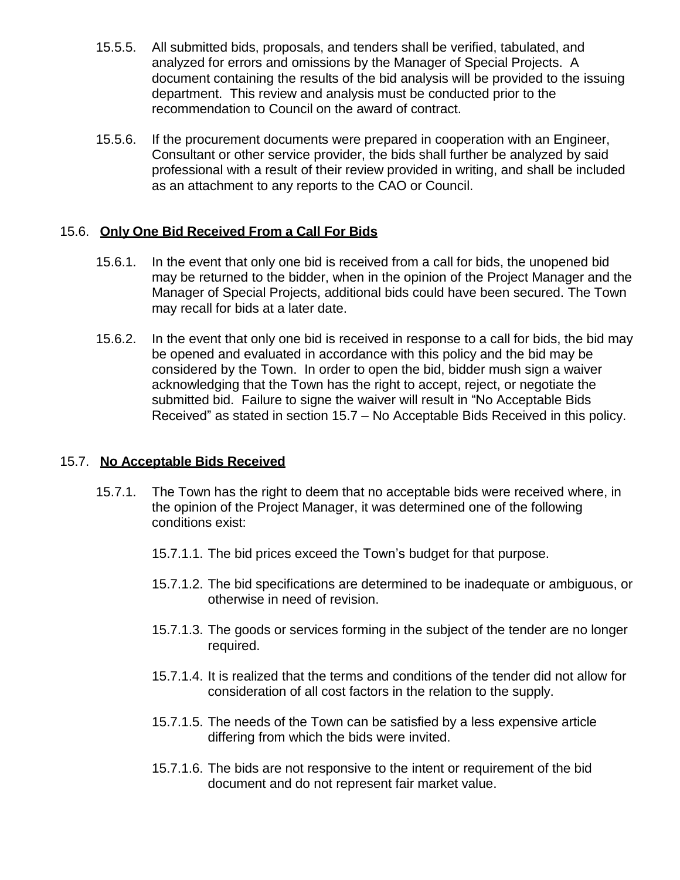- 15.5.5. All submitted bids, proposals, and tenders shall be verified, tabulated, and analyzed for errors and omissions by the Manager of Special Projects. A document containing the results of the bid analysis will be provided to the issuing department. This review and analysis must be conducted prior to the recommendation to Council on the award of contract.
- 15.5.6. If the procurement documents were prepared in cooperation with an Engineer, Consultant or other service provider, the bids shall further be analyzed by said professional with a result of their review provided in writing, and shall be included as an attachment to any reports to the CAO or Council.

## 15.6. **Only One Bid Received From a Call For Bids**

- 15.6.1. In the event that only one bid is received from a call for bids, the unopened bid may be returned to the bidder, when in the opinion of the Project Manager and the Manager of Special Projects, additional bids could have been secured. The Town may recall for bids at a later date.
- 15.6.2. In the event that only one bid is received in response to a call for bids, the bid may be opened and evaluated in accordance with this policy and the bid may be considered by the Town. In order to open the bid, bidder mush sign a waiver acknowledging that the Town has the right to accept, reject, or negotiate the submitted bid. Failure to signe the waiver will result in "No Acceptable Bids Received" as stated in section 15.7 – No Acceptable Bids Received in this policy.

## 15.7. **No Acceptable Bids Received**

- 15.7.1. The Town has the right to deem that no acceptable bids were received where, in the opinion of the Project Manager, it was determined one of the following conditions exist:
	- 15.7.1.1. The bid prices exceed the Town's budget for that purpose.
	- 15.7.1.2. The bid specifications are determined to be inadequate or ambiguous, or otherwise in need of revision.
	- 15.7.1.3. The goods or services forming in the subject of the tender are no longer required.
	- 15.7.1.4. It is realized that the terms and conditions of the tender did not allow for consideration of all cost factors in the relation to the supply.
	- 15.7.1.5. The needs of the Town can be satisfied by a less expensive article differing from which the bids were invited.
	- 15.7.1.6. The bids are not responsive to the intent or requirement of the bid document and do not represent fair market value.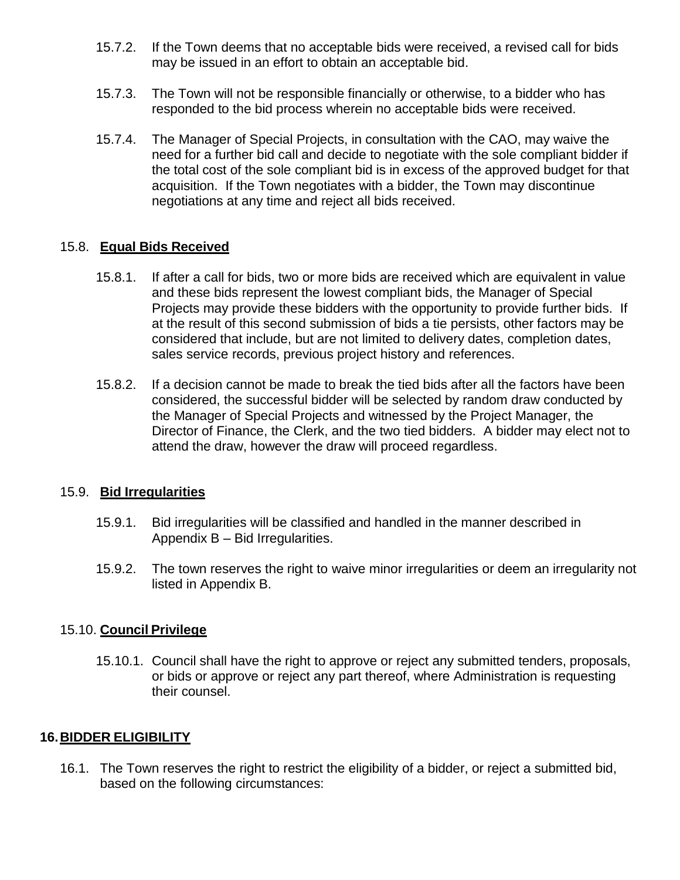- 15.7.2. If the Town deems that no acceptable bids were received, a revised call for bids may be issued in an effort to obtain an acceptable bid.
- 15.7.3. The Town will not be responsible financially or otherwise, to a bidder who has responded to the bid process wherein no acceptable bids were received.
- 15.7.4. The Manager of Special Projects, in consultation with the CAO, may waive the need for a further bid call and decide to negotiate with the sole compliant bidder if the total cost of the sole compliant bid is in excess of the approved budget for that acquisition. If the Town negotiates with a bidder, the Town may discontinue negotiations at any time and reject all bids received.

#### 15.8. **Equal Bids Received**

- 15.8.1. If after a call for bids, two or more bids are received which are equivalent in value and these bids represent the lowest compliant bids, the Manager of Special Projects may provide these bidders with the opportunity to provide further bids. If at the result of this second submission of bids a tie persists, other factors may be considered that include, but are not limited to delivery dates, completion dates, sales service records, previous project history and references.
- 15.8.2. If a decision cannot be made to break the tied bids after all the factors have been considered, the successful bidder will be selected by random draw conducted by the Manager of Special Projects and witnessed by the Project Manager, the Director of Finance, the Clerk, and the two tied bidders. A bidder may elect not to attend the draw, however the draw will proceed regardless.

#### 15.9. **Bid Irregularities**

- 15.9.1. Bid irregularities will be classified and handled in the manner described in Appendix B – Bid Irregularities.
- 15.9.2. The town reserves the right to waive minor irregularities or deem an irregularity not listed in Appendix B.

#### 15.10. **Council Privilege**

15.10.1. Council shall have the right to approve or reject any submitted tenders, proposals, or bids or approve or reject any part thereof, where Administration is requesting their counsel.

## **16.BIDDER ELIGIBILITY**

16.1. The Town reserves the right to restrict the eligibility of a bidder, or reject a submitted bid, based on the following circumstances: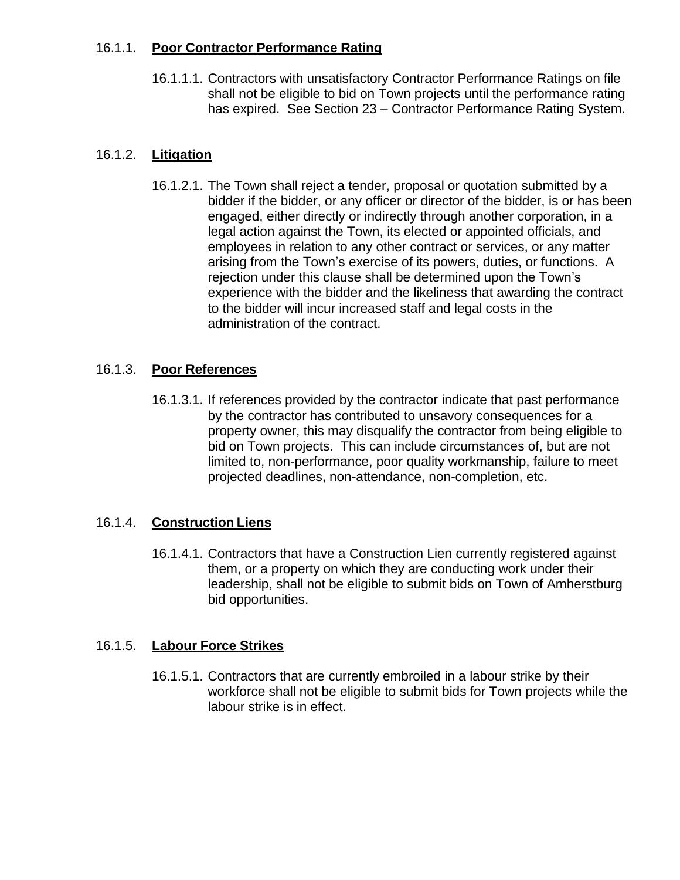## 16.1.1. **Poor Contractor Performance Rating**

16.1.1.1. Contractors with unsatisfactory Contractor Performance Ratings on file shall not be eligible to bid on Town projects until the performance rating has expired. See Section 23 – Contractor Performance Rating System.

## 16.1.2. **Litigation**

16.1.2.1. The Town shall reject a tender, proposal or quotation submitted by a bidder if the bidder, or any officer or director of the bidder, is or has been engaged, either directly or indirectly through another corporation, in a legal action against the Town, its elected or appointed officials, and employees in relation to any other contract or services, or any matter arising from the Town's exercise of its powers, duties, or functions. A rejection under this clause shall be determined upon the Town's experience with the bidder and the likeliness that awarding the contract to the bidder will incur increased staff and legal costs in the administration of the contract.

## 16.1.3. **Poor References**

16.1.3.1. If references provided by the contractor indicate that past performance by the contractor has contributed to unsavory consequences for a property owner, this may disqualify the contractor from being eligible to bid on Town projects. This can include circumstances of, but are not limited to, non-performance, poor quality workmanship, failure to meet projected deadlines, non-attendance, non-completion, etc.

## 16.1.4. **Construction Liens**

16.1.4.1. Contractors that have a Construction Lien currently registered against them, or a property on which they are conducting work under their leadership, shall not be eligible to submit bids on Town of Amherstburg bid opportunities.

## 16.1.5. **Labour Force Strikes**

16.1.5.1. Contractors that are currently embroiled in a labour strike by their workforce shall not be eligible to submit bids for Town projects while the labour strike is in effect.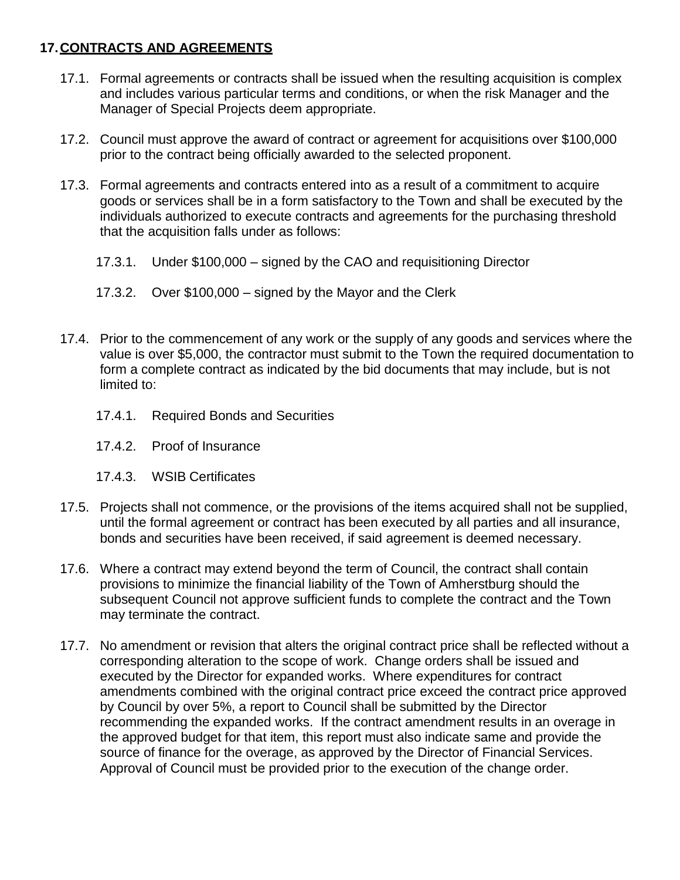# **17.CONTRACTS AND AGREEMENTS**

- 17.1. Formal agreements or contracts shall be issued when the resulting acquisition is complex and includes various particular terms and conditions, or when the risk Manager and the Manager of Special Projects deem appropriate.
- 17.2. Council must approve the award of contract or agreement for acquisitions over \$100,000 prior to the contract being officially awarded to the selected proponent.
- 17.3. Formal agreements and contracts entered into as a result of a commitment to acquire goods or services shall be in a form satisfactory to the Town and shall be executed by the individuals authorized to execute contracts and agreements for the purchasing threshold that the acquisition falls under as follows:
	- 17.3.1. Under \$100,000 signed by the CAO and requisitioning Director
	- 17.3.2. Over \$100,000 signed by the Mayor and the Clerk
- 17.4. Prior to the commencement of any work or the supply of any goods and services where the value is over \$5,000, the contractor must submit to the Town the required documentation to form a complete contract as indicated by the bid documents that may include, but is not limited to:
	- 17.4.1. Required Bonds and Securities
	- 17.4.2. Proof of Insurance
	- 17.4.3. WSIB Certificates
- 17.5. Projects shall not commence, or the provisions of the items acquired shall not be supplied, until the formal agreement or contract has been executed by all parties and all insurance, bonds and securities have been received, if said agreement is deemed necessary.
- 17.6. Where a contract may extend beyond the term of Council, the contract shall contain provisions to minimize the financial liability of the Town of Amherstburg should the subsequent Council not approve sufficient funds to complete the contract and the Town may terminate the contract.
- 17.7. No amendment or revision that alters the original contract price shall be reflected without a corresponding alteration to the scope of work. Change orders shall be issued and executed by the Director for expanded works. Where expenditures for contract amendments combined with the original contract price exceed the contract price approved by Council by over 5%, a report to Council shall be submitted by the Director recommending the expanded works. If the contract amendment results in an overage in the approved budget for that item, this report must also indicate same and provide the source of finance for the overage, as approved by the Director of Financial Services. Approval of Council must be provided prior to the execution of the change order.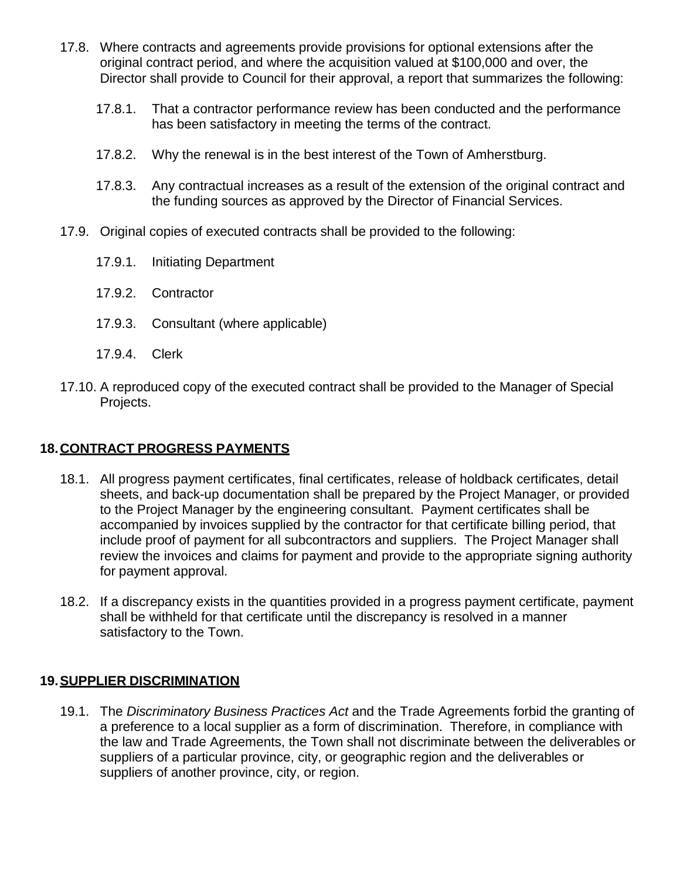- 17.8. Where contracts and agreements provide provisions for optional extensions after the original contract period, and where the acquisition valued at \$100,000 and over, the Director shall provide to Council for their approval, a report that summarizes the following:
	- 17.8.1. That a contractor performance review has been conducted and the performance has been satisfactory in meeting the terms of the contract.
	- 17.8.2. Why the renewal is in the best interest of the Town of Amherstburg.
	- 17.8.3. Any contractual increases as a result of the extension of the original contract and the funding sources as approved by the Director of Financial Services.
- 17.9. Original copies of executed contracts shall be provided to the following:
	- 17.9.1. Initiating Department
	- 17.9.2. Contractor
	- 17.9.3. Consultant (where applicable)
	- 17.9.4. Clerk
- 17.10. A reproduced copy of the executed contract shall be provided to the Manager of Special Projects.

## **18.CONTRACT PROGRESS PAYMENTS**

- 18.1. All progress payment certificates, final certificates, release of holdback certificates, detail sheets, and back-up documentation shall be prepared by the Project Manager, or provided to the Project Manager by the engineering consultant. Payment certificates shall be accompanied by invoices supplied by the contractor for that certificate billing period, that include proof of payment for all subcontractors and suppliers. The Project Manager shall review the invoices and claims for payment and provide to the appropriate signing authority for payment approval.
- 18.2. If a discrepancy exists in the quantities provided in a progress payment certificate, payment shall be withheld for that certificate until the discrepancy is resolved in a manner satisfactory to the Town.

## **19.SUPPLIER DISCRIMINATION**

19.1. The *Discriminatory Business Practices Act* and the Trade Agreements forbid the granting of a preference to a local supplier as a form of discrimination. Therefore, in compliance with the law and Trade Agreements, the Town shall not discriminate between the deliverables or suppliers of a particular province, city, or geographic region and the deliverables or suppliers of another province, city, or region.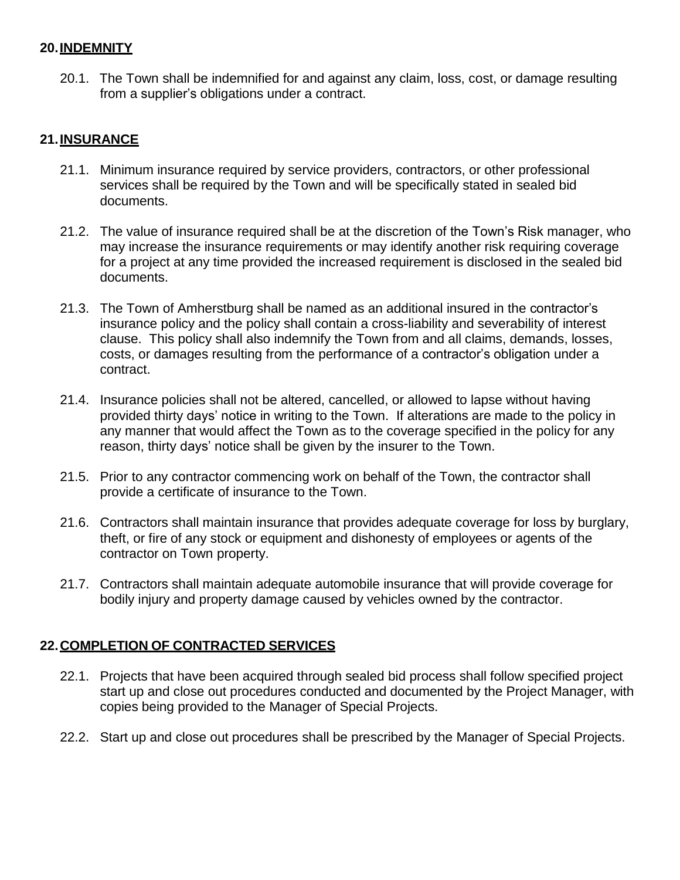#### **20.INDEMNITY**

20.1. The Town shall be indemnified for and against any claim, loss, cost, or damage resulting from a supplier's obligations under a contract.

## **21.INSURANCE**

- 21.1. Minimum insurance required by service providers, contractors, or other professional services shall be required by the Town and will be specifically stated in sealed bid documents.
- 21.2. The value of insurance required shall be at the discretion of the Town's Risk manager, who may increase the insurance requirements or may identify another risk requiring coverage for a project at any time provided the increased requirement is disclosed in the sealed bid documents.
- 21.3. The Town of Amherstburg shall be named as an additional insured in the contractor's insurance policy and the policy shall contain a cross-liability and severability of interest clause. This policy shall also indemnify the Town from and all claims, demands, losses, costs, or damages resulting from the performance of a contractor's obligation under a contract.
- 21.4. Insurance policies shall not be altered, cancelled, or allowed to lapse without having provided thirty days' notice in writing to the Town. If alterations are made to the policy in any manner that would affect the Town as to the coverage specified in the policy for any reason, thirty days' notice shall be given by the insurer to the Town.
- 21.5. Prior to any contractor commencing work on behalf of the Town, the contractor shall provide a certificate of insurance to the Town.
- 21.6. Contractors shall maintain insurance that provides adequate coverage for loss by burglary, theft, or fire of any stock or equipment and dishonesty of employees or agents of the contractor on Town property.
- 21.7. Contractors shall maintain adequate automobile insurance that will provide coverage for bodily injury and property damage caused by vehicles owned by the contractor.

## **22.COMPLETION OF CONTRACTED SERVICES**

- 22.1. Projects that have been acquired through sealed bid process shall follow specified project start up and close out procedures conducted and documented by the Project Manager, with copies being provided to the Manager of Special Projects.
- 22.2. Start up and close out procedures shall be prescribed by the Manager of Special Projects.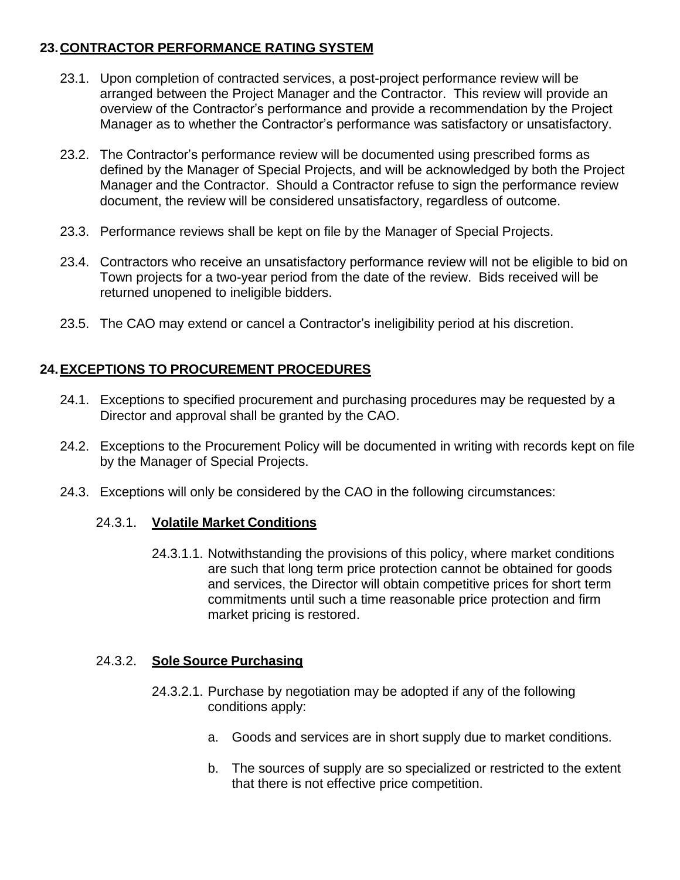# **23.CONTRACTOR PERFORMANCE RATING SYSTEM**

- 23.1. Upon completion of contracted services, a post-project performance review will be arranged between the Project Manager and the Contractor. This review will provide an overview of the Contractor's performance and provide a recommendation by the Project Manager as to whether the Contractor's performance was satisfactory or unsatisfactory.
- 23.2. The Contractor's performance review will be documented using prescribed forms as defined by the Manager of Special Projects, and will be acknowledged by both the Project Manager and the Contractor. Should a Contractor refuse to sign the performance review document, the review will be considered unsatisfactory, regardless of outcome.
- 23.3. Performance reviews shall be kept on file by the Manager of Special Projects.
- 23.4. Contractors who receive an unsatisfactory performance review will not be eligible to bid on Town projects for a two-year period from the date of the review. Bids received will be returned unopened to ineligible bidders.
- 23.5. The CAO may extend or cancel a Contractor's ineligibility period at his discretion.

# **24.EXCEPTIONS TO PROCUREMENT PROCEDURES**

- 24.1. Exceptions to specified procurement and purchasing procedures may be requested by a Director and approval shall be granted by the CAO.
- 24.2. Exceptions to the Procurement Policy will be documented in writing with records kept on file by the Manager of Special Projects.
- 24.3. Exceptions will only be considered by the CAO in the following circumstances:

#### 24.3.1. **Volatile Market Conditions**

24.3.1.1. Notwithstanding the provisions of this policy, where market conditions are such that long term price protection cannot be obtained for goods and services, the Director will obtain competitive prices for short term commitments until such a time reasonable price protection and firm market pricing is restored.

#### 24.3.2. **Sole Source Purchasing**

- 24.3.2.1. Purchase by negotiation may be adopted if any of the following conditions apply:
	- a. Goods and services are in short supply due to market conditions.
	- b. The sources of supply are so specialized or restricted to the extent that there is not effective price competition.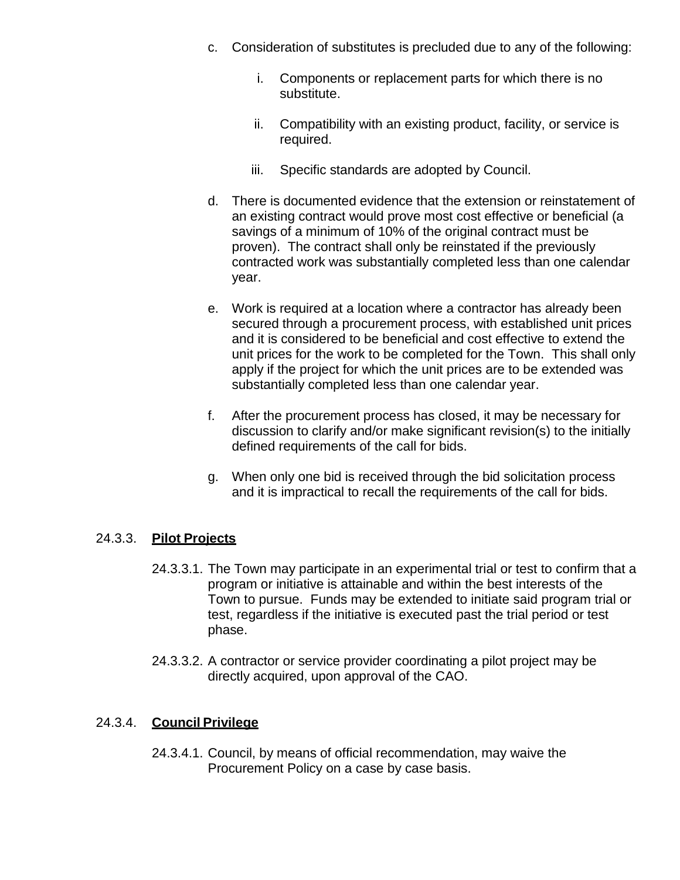- c. Consideration of substitutes is precluded due to any of the following:
	- i. Components or replacement parts for which there is no substitute.
	- ii. Compatibility with an existing product, facility, or service is required.
	- iii. Specific standards are adopted by Council.
- d. There is documented evidence that the extension or reinstatement of an existing contract would prove most cost effective or beneficial (a savings of a minimum of 10% of the original contract must be proven). The contract shall only be reinstated if the previously contracted work was substantially completed less than one calendar year.
- e. Work is required at a location where a contractor has already been secured through a procurement process, with established unit prices and it is considered to be beneficial and cost effective to extend the unit prices for the work to be completed for the Town. This shall only apply if the project for which the unit prices are to be extended was substantially completed less than one calendar year.
- f. After the procurement process has closed, it may be necessary for discussion to clarify and/or make significant revision(s) to the initially defined requirements of the call for bids.
- g. When only one bid is received through the bid solicitation process and it is impractical to recall the requirements of the call for bids.

## 24.3.3. **Pilot Projects**

- 24.3.3.1. The Town may participate in an experimental trial or test to confirm that a program or initiative is attainable and within the best interests of the Town to pursue. Funds may be extended to initiate said program trial or test, regardless if the initiative is executed past the trial period or test phase.
- 24.3.3.2. A contractor or service provider coordinating a pilot project may be directly acquired, upon approval of the CAO.

#### 24.3.4. **Council Privilege**

24.3.4.1. Council, by means of official recommendation, may waive the Procurement Policy on a case by case basis.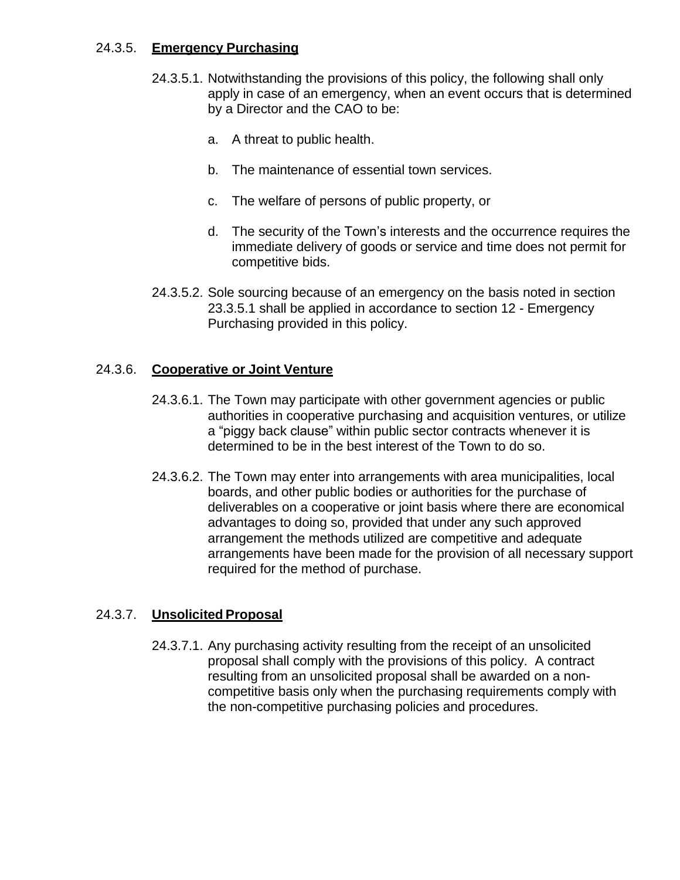#### 24.3.5. **Emergency Purchasing**

- 24.3.5.1. Notwithstanding the provisions of this policy, the following shall only apply in case of an emergency, when an event occurs that is determined by a Director and the CAO to be:
	- a. A threat to public health.
	- b. The maintenance of essential town services.
	- c. The welfare of persons of public property, or
	- d. The security of the Town's interests and the occurrence requires the immediate delivery of goods or service and time does not permit for competitive bids.
- 24.3.5.2. Sole sourcing because of an emergency on the basis noted in section 23.3.5.1 shall be applied in accordance to section 12 - Emergency Purchasing provided in this policy.

## 24.3.6. **Cooperative or Joint Venture**

- 24.3.6.1. The Town may participate with other government agencies or public authorities in cooperative purchasing and acquisition ventures, or utilize a "piggy back clause" within public sector contracts whenever it is determined to be in the best interest of the Town to do so.
- 24.3.6.2. The Town may enter into arrangements with area municipalities, local boards, and other public bodies or authorities for the purchase of deliverables on a cooperative or joint basis where there are economical advantages to doing so, provided that under any such approved arrangement the methods utilized are competitive and adequate arrangements have been made for the provision of all necessary support required for the method of purchase.

#### 24.3.7. **Unsolicited Proposal**

24.3.7.1. Any purchasing activity resulting from the receipt of an unsolicited proposal shall comply with the provisions of this policy. A contract resulting from an unsolicited proposal shall be awarded on a noncompetitive basis only when the purchasing requirements comply with the non-competitive purchasing policies and procedures.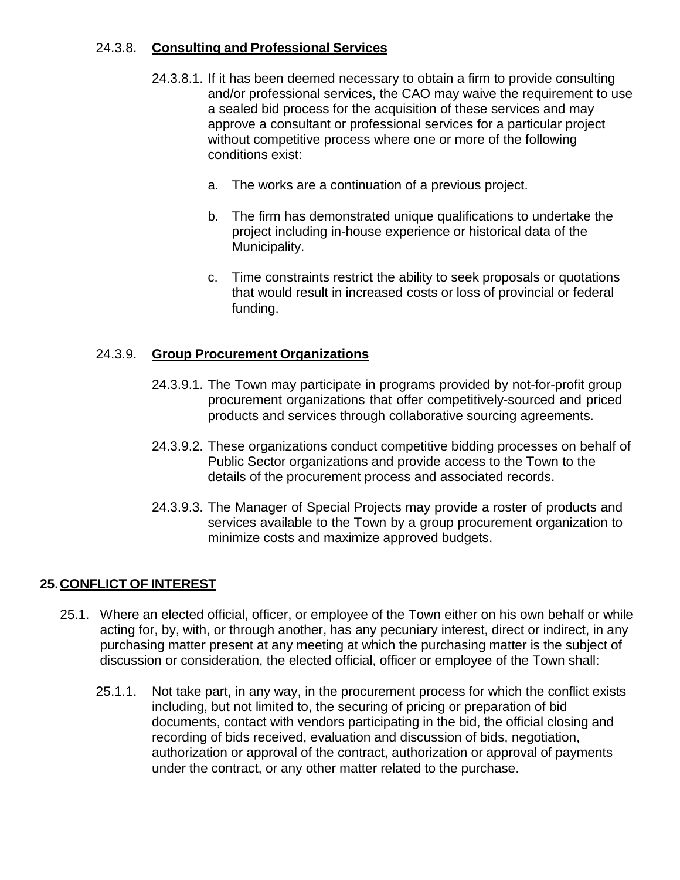## 24.3.8. **Consulting and Professional Services**

- 24.3.8.1. If it has been deemed necessary to obtain a firm to provide consulting and/or professional services, the CAO may waive the requirement to use a sealed bid process for the acquisition of these services and may approve a consultant or professional services for a particular project without competitive process where one or more of the following conditions exist:
	- a. The works are a continuation of a previous project.
	- b. The firm has demonstrated unique qualifications to undertake the project including in-house experience or historical data of the Municipality.
	- c. Time constraints restrict the ability to seek proposals or quotations that would result in increased costs or loss of provincial or federal funding.

## 24.3.9. **Group Procurement Organizations**

- 24.3.9.1. The Town may participate in programs provided by not-for-profit group procurement organizations that offer competitively-sourced and priced products and services through collaborative sourcing agreements.
- 24.3.9.2. These organizations conduct competitive bidding processes on behalf of Public Sector organizations and provide access to the Town to the details of the procurement process and associated records.
- 24.3.9.3. The Manager of Special Projects may provide a roster of products and services available to the Town by a group procurement organization to minimize costs and maximize approved budgets.

## **25.CONFLICT OF INTEREST**

- 25.1. Where an elected official, officer, or employee of the Town either on his own behalf or while acting for, by, with, or through another, has any pecuniary interest, direct or indirect, in any purchasing matter present at any meeting at which the purchasing matter is the subject of discussion or consideration, the elected official, officer or employee of the Town shall:
	- 25.1.1. Not take part, in any way, in the procurement process for which the conflict exists including, but not limited to, the securing of pricing or preparation of bid documents, contact with vendors participating in the bid, the official closing and recording of bids received, evaluation and discussion of bids, negotiation, authorization or approval of the contract, authorization or approval of payments under the contract, or any other matter related to the purchase.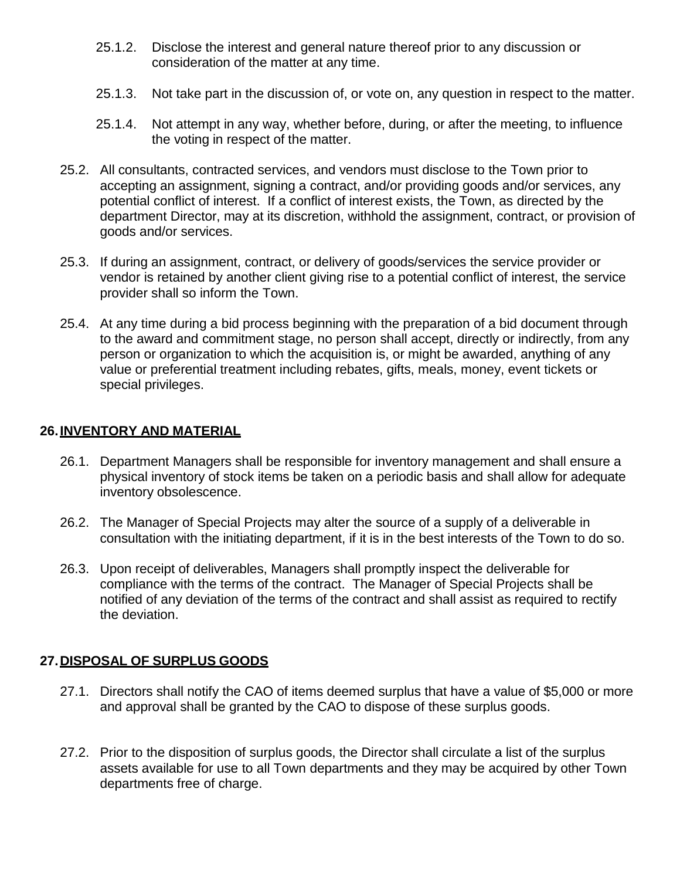- 25.1.2. Disclose the interest and general nature thereof prior to any discussion or consideration of the matter at any time.
- 25.1.3. Not take part in the discussion of, or vote on, any question in respect to the matter.
- 25.1.4. Not attempt in any way, whether before, during, or after the meeting, to influence the voting in respect of the matter.
- 25.2. All consultants, contracted services, and vendors must disclose to the Town prior to accepting an assignment, signing a contract, and/or providing goods and/or services, any potential conflict of interest. If a conflict of interest exists, the Town, as directed by the department Director, may at its discretion, withhold the assignment, contract, or provision of goods and/or services.
- 25.3. If during an assignment, contract, or delivery of goods/services the service provider or vendor is retained by another client giving rise to a potential conflict of interest, the service provider shall so inform the Town.
- 25.4. At any time during a bid process beginning with the preparation of a bid document through to the award and commitment stage, no person shall accept, directly or indirectly, from any person or organization to which the acquisition is, or might be awarded, anything of any value or preferential treatment including rebates, gifts, meals, money, event tickets or special privileges.

#### **26.INVENTORY AND MATERIAL**

- 26.1. Department Managers shall be responsible for inventory management and shall ensure a physical inventory of stock items be taken on a periodic basis and shall allow for adequate inventory obsolescence.
- 26.2. The Manager of Special Projects may alter the source of a supply of a deliverable in consultation with the initiating department, if it is in the best interests of the Town to do so.
- 26.3. Upon receipt of deliverables, Managers shall promptly inspect the deliverable for compliance with the terms of the contract. The Manager of Special Projects shall be notified of any deviation of the terms of the contract and shall assist as required to rectify the deviation.

#### **27.DISPOSAL OF SURPLUS GOODS**

- 27.1. Directors shall notify the CAO of items deemed surplus that have a value of \$5,000 or more and approval shall be granted by the CAO to dispose of these surplus goods.
- 27.2. Prior to the disposition of surplus goods, the Director shall circulate a list of the surplus assets available for use to all Town departments and they may be acquired by other Town departments free of charge.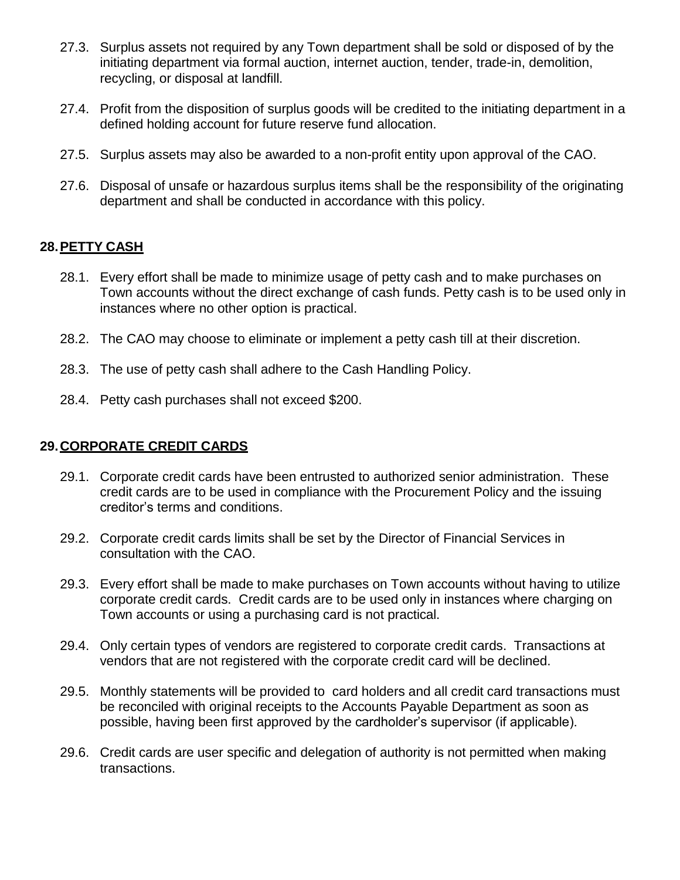- 27.3. Surplus assets not required by any Town department shall be sold or disposed of by the initiating department via formal auction, internet auction, tender, trade-in, demolition, recycling, or disposal at landfill.
- 27.4. Profit from the disposition of surplus goods will be credited to the initiating department in a defined holding account for future reserve fund allocation.
- 27.5. Surplus assets may also be awarded to a non-profit entity upon approval of the CAO.
- 27.6. Disposal of unsafe or hazardous surplus items shall be the responsibility of the originating department and shall be conducted in accordance with this policy.

## **28.PETTY CASH**

- 28.1. Every effort shall be made to minimize usage of petty cash and to make purchases on Town accounts without the direct exchange of cash funds. Petty cash is to be used only in instances where no other option is practical.
- 28.2. The CAO may choose to eliminate or implement a petty cash till at their discretion.
- 28.3. The use of petty cash shall adhere to the Cash Handling Policy.
- 28.4. Petty cash purchases shall not exceed \$200.

#### **29.CORPORATE CREDIT CARDS**

- 29.1. Corporate credit cards have been entrusted to authorized senior administration. These credit cards are to be used in compliance with the Procurement Policy and the issuing creditor's terms and conditions.
- 29.2. Corporate credit cards limits shall be set by the Director of Financial Services in consultation with the CAO.
- 29.3. Every effort shall be made to make purchases on Town accounts without having to utilize corporate credit cards. Credit cards are to be used only in instances where charging on Town accounts or using a purchasing card is not practical.
- 29.4. Only certain types of vendors are registered to corporate credit cards. Transactions at vendors that are not registered with the corporate credit card will be declined.
- 29.5. Monthly statements will be provided to card holders and all credit card transactions must be reconciled with original receipts to the Accounts Payable Department as soon as possible, having been first approved by the cardholder's supervisor (if applicable).
- 29.6. Credit cards are user specific and delegation of authority is not permitted when making transactions.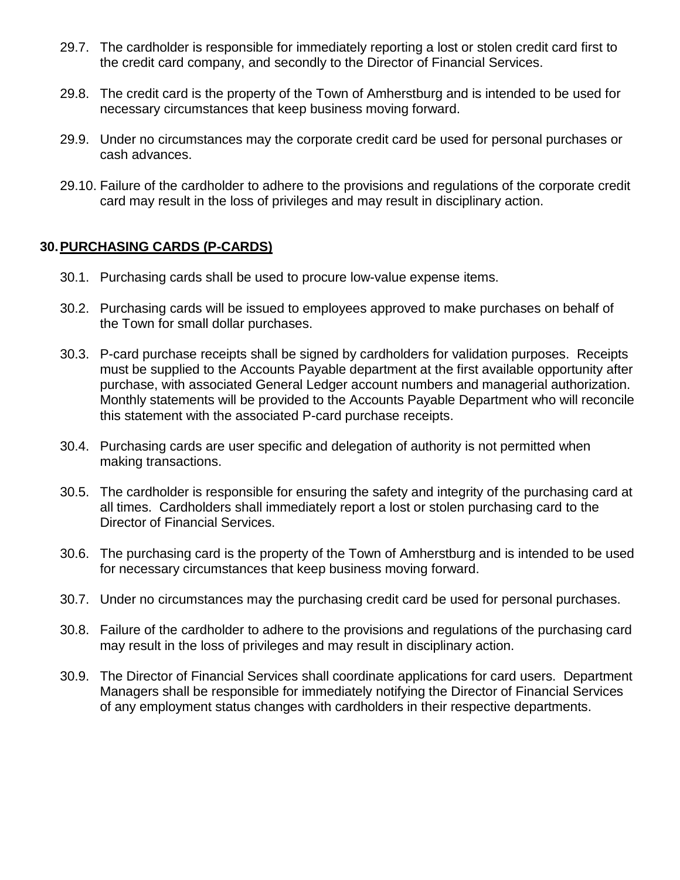- 29.7. The cardholder is responsible for immediately reporting a lost or stolen credit card first to the credit card company, and secondly to the Director of Financial Services.
- 29.8. The credit card is the property of the Town of Amherstburg and is intended to be used for necessary circumstances that keep business moving forward.
- 29.9. Under no circumstances may the corporate credit card be used for personal purchases or cash advances.
- 29.10. Failure of the cardholder to adhere to the provisions and regulations of the corporate credit card may result in the loss of privileges and may result in disciplinary action.

#### **30.PURCHASING CARDS (P-CARDS)**

- 30.1. Purchasing cards shall be used to procure low-value expense items.
- 30.2. Purchasing cards will be issued to employees approved to make purchases on behalf of the Town for small dollar purchases.
- 30.3. P-card purchase receipts shall be signed by cardholders for validation purposes. Receipts must be supplied to the Accounts Payable department at the first available opportunity after purchase, with associated General Ledger account numbers and managerial authorization. Monthly statements will be provided to the Accounts Payable Department who will reconcile this statement with the associated P-card purchase receipts.
- 30.4. Purchasing cards are user specific and delegation of authority is not permitted when making transactions.
- 30.5. The cardholder is responsible for ensuring the safety and integrity of the purchasing card at all times. Cardholders shall immediately report a lost or stolen purchasing card to the Director of Financial Services.
- 30.6. The purchasing card is the property of the Town of Amherstburg and is intended to be used for necessary circumstances that keep business moving forward.
- 30.7. Under no circumstances may the purchasing credit card be used for personal purchases.
- 30.8. Failure of the cardholder to adhere to the provisions and regulations of the purchasing card may result in the loss of privileges and may result in disciplinary action.
- 30.9. The Director of Financial Services shall coordinate applications for card users. Department Managers shall be responsible for immediately notifying the Director of Financial Services of any employment status changes with cardholders in their respective departments.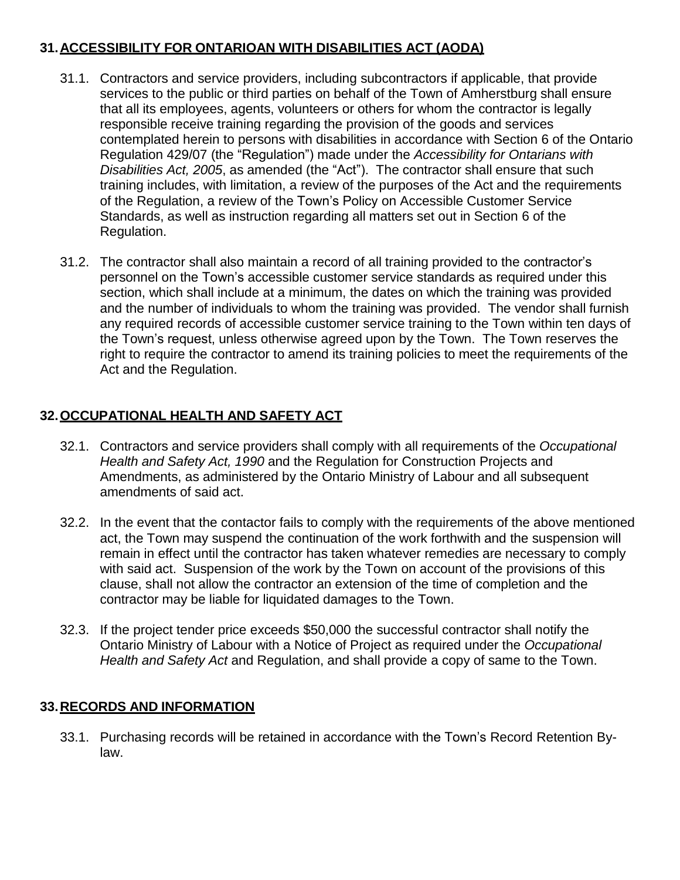# **31.ACCESSIBILITY FOR ONTARIOAN WITH DISABILITIES ACT (AODA)**

- 31.1. Contractors and service providers, including subcontractors if applicable, that provide services to the public or third parties on behalf of the Town of Amherstburg shall ensure that all its employees, agents, volunteers or others for whom the contractor is legally responsible receive training regarding the provision of the goods and services contemplated herein to persons with disabilities in accordance with Section 6 of the Ontario Regulation 429/07 (the "Regulation") made under the *Accessibility for Ontarians with Disabilities Act, 2005*, as amended (the "Act"). The contractor shall ensure that such training includes, with limitation, a review of the purposes of the Act and the requirements of the Regulation, a review of the Town's Policy on Accessible Customer Service Standards, as well as instruction regarding all matters set out in Section 6 of the Regulation.
- 31.2. The contractor shall also maintain a record of all training provided to the contractor's personnel on the Town's accessible customer service standards as required under this section, which shall include at a minimum, the dates on which the training was provided and the number of individuals to whom the training was provided. The vendor shall furnish any required records of accessible customer service training to the Town within ten days of the Town's request, unless otherwise agreed upon by the Town. The Town reserves the right to require the contractor to amend its training policies to meet the requirements of the Act and the Regulation.

# **32.OCCUPATIONAL HEALTH AND SAFETY ACT**

- 32.1. Contractors and service providers shall comply with all requirements of the *Occupational Health and Safety Act, 1990* and the Regulation for Construction Projects and Amendments, as administered by the Ontario Ministry of Labour and all subsequent amendments of said act.
- 32.2. In the event that the contactor fails to comply with the requirements of the above mentioned act, the Town may suspend the continuation of the work forthwith and the suspension will remain in effect until the contractor has taken whatever remedies are necessary to comply with said act. Suspension of the work by the Town on account of the provisions of this clause, shall not allow the contractor an extension of the time of completion and the contractor may be liable for liquidated damages to the Town.
- 32.3. If the project tender price exceeds \$50,000 the successful contractor shall notify the Ontario Ministry of Labour with a Notice of Project as required under the *Occupational Health and Safety Act* and Regulation, and shall provide a copy of same to the Town.

## **33.RECORDS AND INFORMATION**

33.1. Purchasing records will be retained in accordance with the Town's Record Retention Bylaw.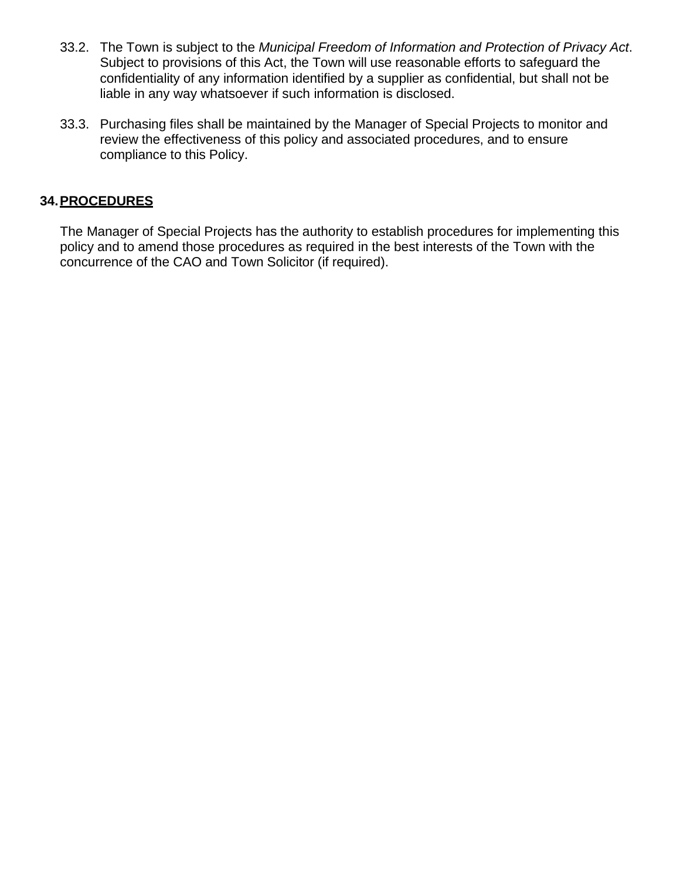- 33.2. The Town is subject to the *Municipal Freedom of Information and Protection of Privacy Act*. Subject to provisions of this Act, the Town will use reasonable efforts to safeguard the confidentiality of any information identified by a supplier as confidential, but shall not be liable in any way whatsoever if such information is disclosed.
- 33.3. Purchasing files shall be maintained by the Manager of Special Projects to monitor and review the effectiveness of this policy and associated procedures, and to ensure compliance to this Policy.

## **34.PROCEDURES**

The Manager of Special Projects has the authority to establish procedures for implementing this policy and to amend those procedures as required in the best interests of the Town with the concurrence of the CAO and Town Solicitor (if required).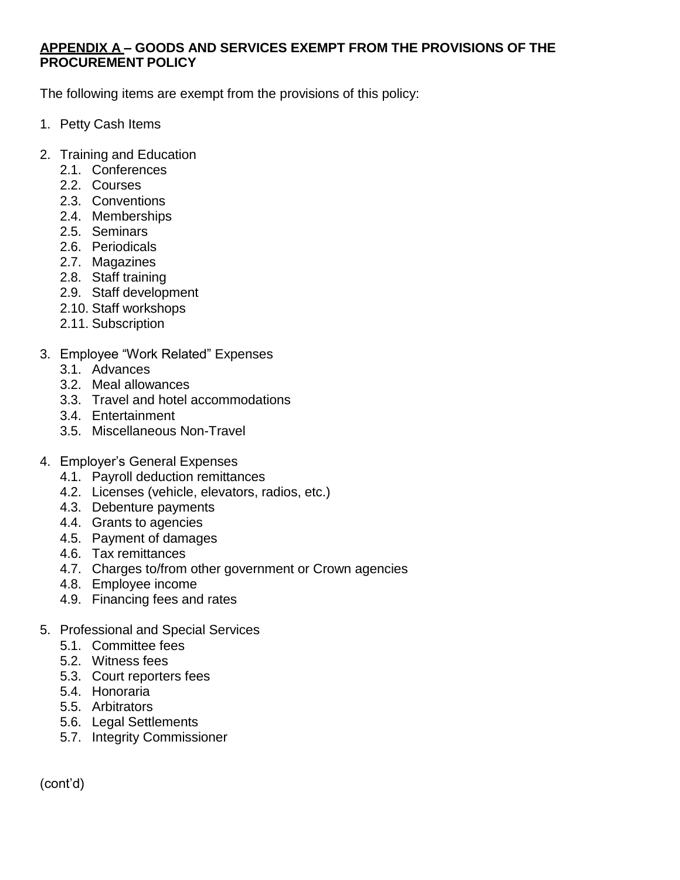#### **APPENDIX A – GOODS AND SERVICES EXEMPT FROM THE PROVISIONS OF THE PROCUREMENT POLICY**

The following items are exempt from the provisions of this policy:

- 1. Petty Cash Items
- 2. Training and Education
	- 2.1. Conferences
	- 2.2. Courses
	- 2.3. Conventions
	- 2.4. Memberships
	- 2.5. Seminars
	- 2.6. Periodicals
	- 2.7. Magazines
	- 2.8. Staff training
	- 2.9. Staff development
	- 2.10. Staff workshops
	- 2.11. Subscription
- 3. Employee "Work Related" Expenses
	- 3.1. Advances
	- 3.2. Meal allowances
	- 3.3. Travel and hotel accommodations
	- 3.4. Entertainment
	- 3.5. Miscellaneous Non-Travel
- 4. Employer's General Expenses
	- 4.1. Payroll deduction remittances
	- 4.2. Licenses (vehicle, elevators, radios, etc.)
	- 4.3. Debenture payments
	- 4.4. Grants to agencies
	- 4.5. Payment of damages
	- 4.6. Tax remittances
	- 4.7. Charges to/from other government or Crown agencies
	- 4.8. Employee income
	- 4.9. Financing fees and rates
- 5. Professional and Special Services
	- 5.1. Committee fees
	- 5.2. Witness fees
	- 5.3. Court reporters fees
	- 5.4. Honoraria
	- 5.5. Arbitrators
	- 5.6. Legal Settlements
	- 5.7. Integrity Commissioner

(cont'd)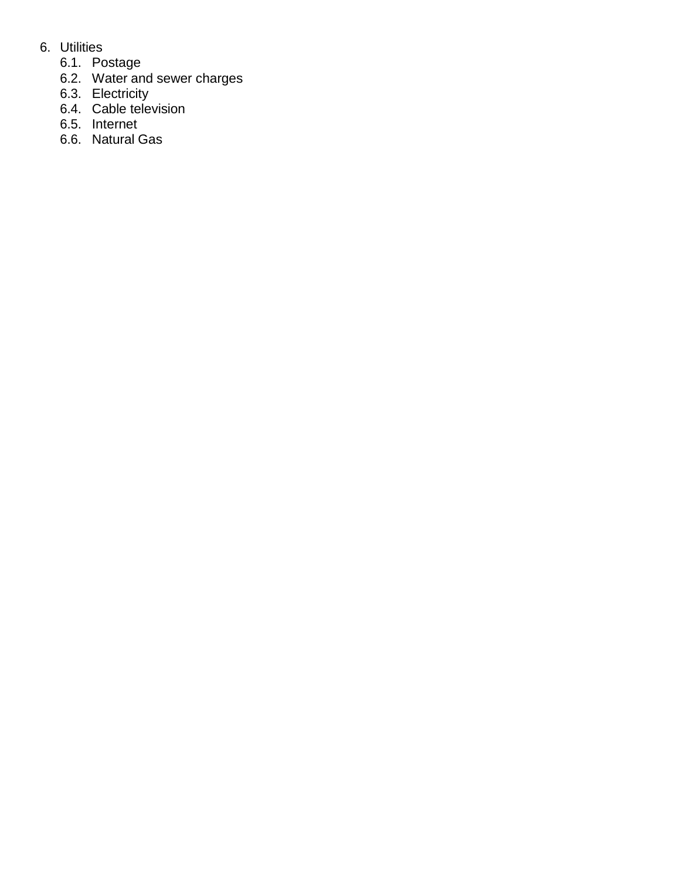- 6. Utilities
	- 6.1. Postage
	- 6.2. Water and sewer charges
	- 6.3. Electricity
	- 6.4. Cable television
	- 6.5. Internet
	- 6.6. Natural Gas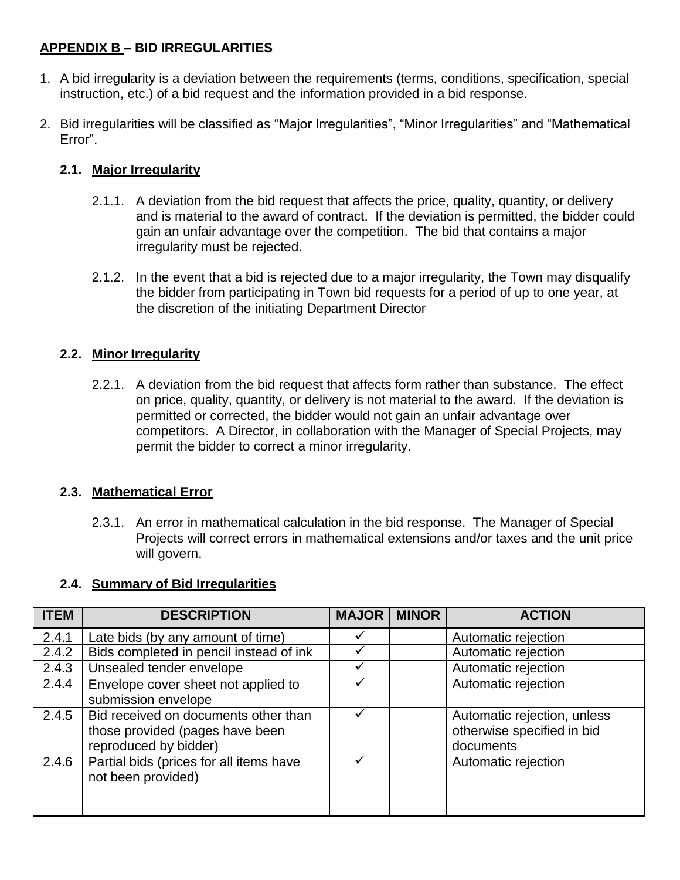# **APPENDIX B – BID IRREGULARITIES**

- 1. A bid irregularity is a deviation between the requirements (terms, conditions, specification, special instruction, etc.) of a bid request and the information provided in a bid response.
- 2. Bid irregularities will be classified as "Major Irregularities", "Minor Irregularities" and "Mathematical Error".

# **2.1. Major Irregularity**

- 2.1.1. A deviation from the bid request that affects the price, quality, quantity, or delivery and is material to the award of contract. If the deviation is permitted, the bidder could gain an unfair advantage over the competition. The bid that contains a major irregularity must be rejected.
- 2.1.2. In the event that a bid is rejected due to a major irregularity, the Town may disqualify the bidder from participating in Town bid requests for a period of up to one year, at the discretion of the initiating Department Director

## **2.2. Minor Irregularity**

2.2.1. A deviation from the bid request that affects form rather than substance. The effect on price, quality, quantity, or delivery is not material to the award. If the deviation is permitted or corrected, the bidder would not gain an unfair advantage over competitors. A Director, in collaboration with the Manager of Special Projects, may permit the bidder to correct a minor irregularity.

## **2.3. Mathematical Error**

2.3.1. An error in mathematical calculation in the bid response. The Manager of Special Projects will correct errors in mathematical extensions and/or taxes and the unit price will govern.

## **2.4. Summary of Bid Irregularities**

| <b>ITEM</b> | <b>DESCRIPTION</b>                                                                               | <b>MAJOR</b> | <b>MINOR</b> | <b>ACTION</b>                                                          |
|-------------|--------------------------------------------------------------------------------------------------|--------------|--------------|------------------------------------------------------------------------|
| 2.4.1       | Late bids (by any amount of time)                                                                |              |              | Automatic rejection                                                    |
| 2.4.2       | Bids completed in pencil instead of ink                                                          |              |              | Automatic rejection                                                    |
| 2.4.3       | Unsealed tender envelope                                                                         |              |              | Automatic rejection                                                    |
| 2.4.4       | Envelope cover sheet not applied to<br>submission envelope                                       |              |              | Automatic rejection                                                    |
| 2.4.5       | Bid received on documents other than<br>those provided (pages have been<br>reproduced by bidder) |              |              | Automatic rejection, unless<br>otherwise specified in bid<br>documents |
| 2.4.6       | Partial bids (prices for all items have<br>not been provided)                                    |              |              | Automatic rejection                                                    |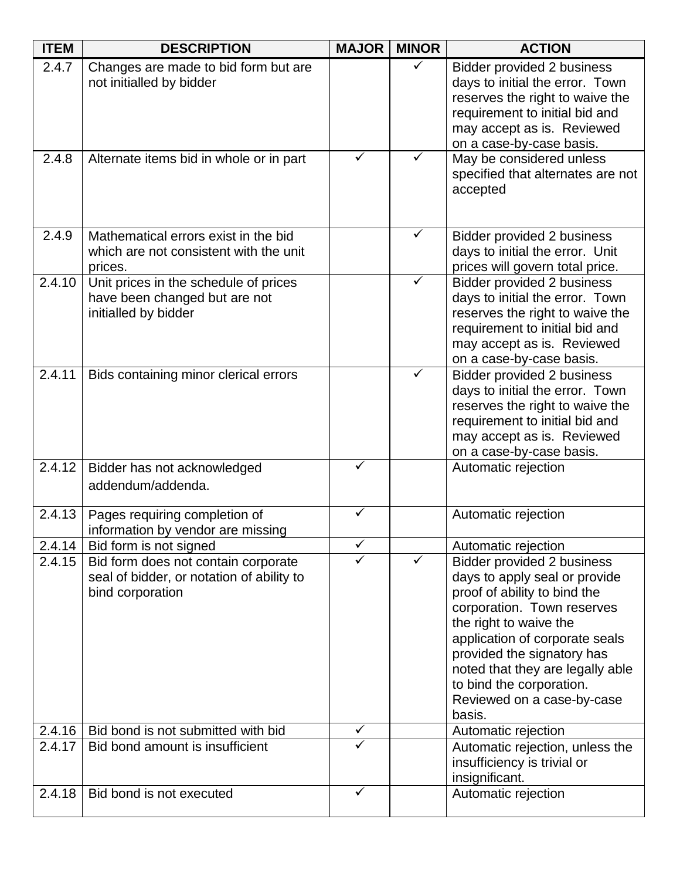| <b>ITEM</b> | <b>DESCRIPTION</b>                                                                                   | <b>MAJOR</b> | <b>MINOR</b> | <b>ACTION</b>                                                                                                                                                                                                                                                                                                               |
|-------------|------------------------------------------------------------------------------------------------------|--------------|--------------|-----------------------------------------------------------------------------------------------------------------------------------------------------------------------------------------------------------------------------------------------------------------------------------------------------------------------------|
| 2.4.7       | Changes are made to bid form but are<br>not initialled by bidder                                     |              | ✓            | Bidder provided 2 business<br>days to initial the error. Town<br>reserves the right to waive the<br>requirement to initial bid and<br>may accept as is. Reviewed<br>on a case-by-case basis.                                                                                                                                |
| 2.4.8       | Alternate items bid in whole or in part                                                              | ✓            | ✓            | May be considered unless<br>specified that alternates are not<br>accepted                                                                                                                                                                                                                                                   |
| 2.4.9       | Mathematical errors exist in the bid<br>which are not consistent with the unit<br>prices.            |              |              | Bidder provided 2 business<br>days to initial the error. Unit<br>prices will govern total price.                                                                                                                                                                                                                            |
| 2.4.10      | Unit prices in the schedule of prices<br>have been changed but are not<br>initialled by bidder       |              |              | Bidder provided 2 business<br>days to initial the error. Town<br>reserves the right to waive the<br>requirement to initial bid and<br>may accept as is. Reviewed<br>on a case-by-case basis.                                                                                                                                |
| 2.4.11      | Bids containing minor clerical errors                                                                |              | ✓            | Bidder provided 2 business<br>days to initial the error. Town<br>reserves the right to waive the<br>requirement to initial bid and<br>may accept as is. Reviewed<br>on a case-by-case basis.                                                                                                                                |
| 2.4.12      | Bidder has not acknowledged<br>addendum/addenda.                                                     | ✓            |              | Automatic rejection                                                                                                                                                                                                                                                                                                         |
| 2.4.13      | Pages requiring completion of<br>information by vendor are missing                                   | ✓            |              | Automatic rejection                                                                                                                                                                                                                                                                                                         |
| 2.4.14      | Bid form is not signed                                                                               | ✓            |              | Automatic rejection                                                                                                                                                                                                                                                                                                         |
| 2.4.15      | Bid form does not contain corporate<br>seal of bidder, or notation of ability to<br>bind corporation | ✓            | ✓            | Bidder provided 2 business<br>days to apply seal or provide<br>proof of ability to bind the<br>corporation. Town reserves<br>the right to waive the<br>application of corporate seals<br>provided the signatory has<br>noted that they are legally able<br>to bind the corporation.<br>Reviewed on a case-by-case<br>basis. |
| 2.4.16      | Bid bond is not submitted with bid                                                                   | $\checkmark$ |              | Automatic rejection                                                                                                                                                                                                                                                                                                         |
| 2.4.17      | Bid bond amount is insufficient                                                                      | ✓            |              | Automatic rejection, unless the<br>insufficiency is trivial or<br>insignificant.                                                                                                                                                                                                                                            |
| 2.4.18      | Bid bond is not executed                                                                             | $\checkmark$ |              | Automatic rejection                                                                                                                                                                                                                                                                                                         |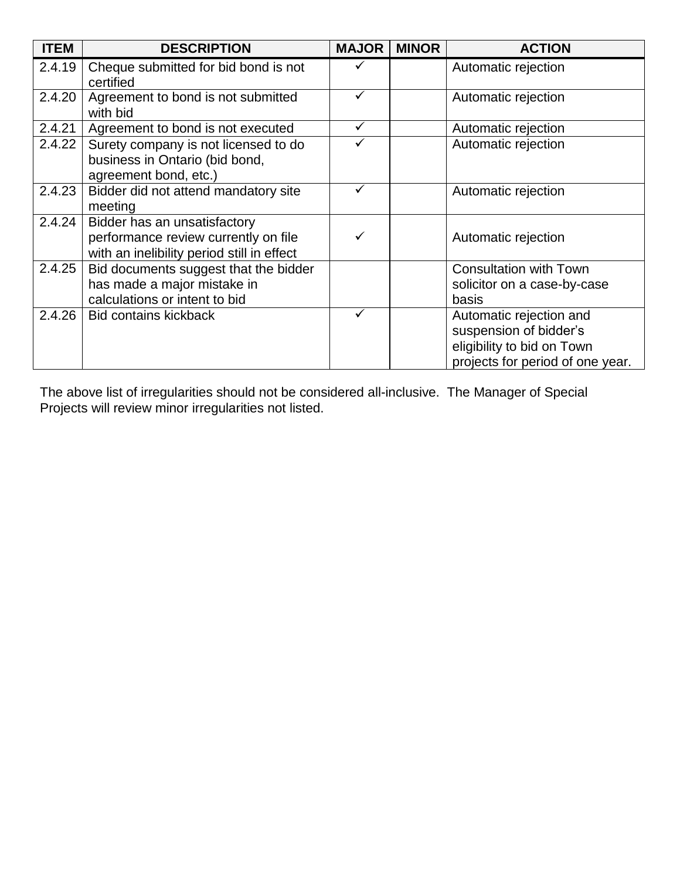| <b>ITEM</b> | <b>DESCRIPTION</b>                                                                                                 | <b>MAJOR</b> | <b>MINOR</b> | <b>ACTION</b>                                                                                                       |
|-------------|--------------------------------------------------------------------------------------------------------------------|--------------|--------------|---------------------------------------------------------------------------------------------------------------------|
| 2.4.19      | Cheque submitted for bid bond is not<br>certified                                                                  |              |              | Automatic rejection                                                                                                 |
| 2.4.20      | Agreement to bond is not submitted<br>with bid                                                                     | ✓            |              | Automatic rejection                                                                                                 |
| 2.4.21      | Agreement to bond is not executed                                                                                  | $\checkmark$ |              | Automatic rejection                                                                                                 |
| 2.4.22      | Surety company is not licensed to do<br>business in Ontario (bid bond,<br>agreement bond, etc.)                    | ✓            |              | Automatic rejection                                                                                                 |
| 2.4.23      | Bidder did not attend mandatory site<br>meeting                                                                    |              |              | Automatic rejection                                                                                                 |
| 2.4.24      | Bidder has an unsatisfactory<br>performance review currently on file<br>with an inelibility period still in effect |              |              | Automatic rejection                                                                                                 |
| 2.4.25      | Bid documents suggest that the bidder                                                                              |              |              | <b>Consultation with Town</b>                                                                                       |
|             | has made a major mistake in                                                                                        |              |              | solicitor on a case-by-case                                                                                         |
|             | calculations or intent to bid                                                                                      |              |              | basis                                                                                                               |
| 2.4.26      | <b>Bid contains kickback</b>                                                                                       |              |              | Automatic rejection and<br>suspension of bidder's<br>eligibility to bid on Town<br>projects for period of one year. |

The above list of irregularities should not be considered all-inclusive. The Manager of Special Projects will review minor irregularities not listed.